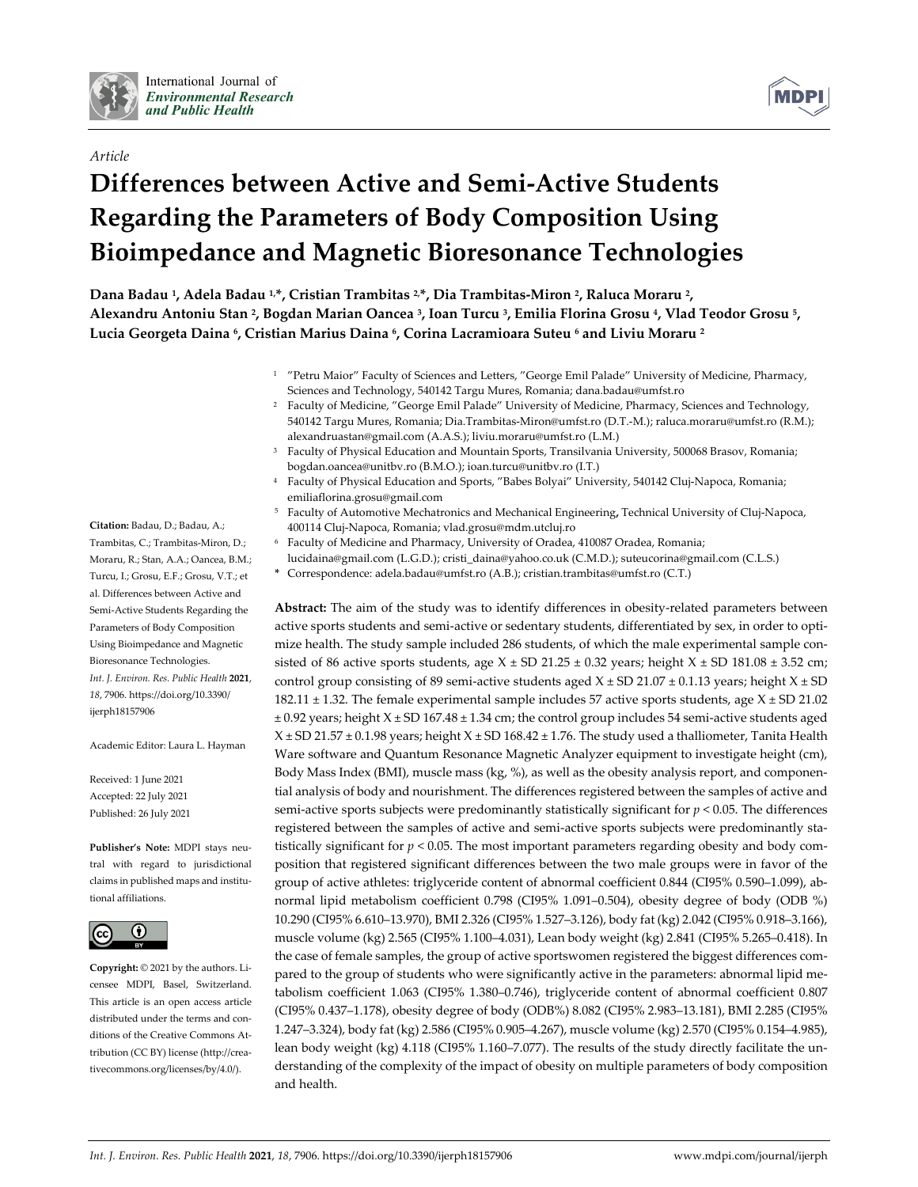

*Article*



# **Differences between Active and Semi‐Active Students Regarding the Parameters of Body Composition Using Bioimpedance and Magnetic Bioresonance Technologies**

**Dana Badau 1, Adela Badau 1,\*, Cristian Trambitas 2,\*, Dia Trambitas‐Miron 2, Raluca Moraru 2,**  Alexandru Antoniu Stan <sup>2</sup>, Bogdan Marian Oancea <sup>3</sup>, Ioan Turcu <sup>3</sup>, Emilia Florina Grosu <sup>4</sup>, Vlad Teodor Grosu <sup>5</sup>, **Lucia Georgeta Daina 6, Cristian Marius Daina 6, Corina Lacramioara Suteu <sup>6</sup> and Liviu Moraru <sup>2</sup>**

- <sup>1</sup> "Petru Maior" Faculty of Sciences and Letters, "George Emil Palade" University of Medicine, Pharmacy, Sciences and Technology, 540142 Targu Mures, Romania; dana.badau@umfst.ro
- <sup>2</sup> Faculty of Medicine, "George Emil Palade" University of Medicine, Pharmacy, Sciences and Technology, 540142 Targu Mures, Romania; Dia.Trambitas‐Miron@umfst.ro (D.T.‐M.); raluca.moraru@umfst.ro (R.M.); alexandruastan@gmail.com (A.A.S.); liviu.moraru@umfst.ro (L.M.)
- <sup>3</sup> Faculty of Physical Education and Mountain Sports, Transilvania University, 500068 Brasov, Romania; bogdan.oancea@unitbv.ro (B.M.O.); ioan.turcu@unitbv.ro (I.T.)
- <sup>4</sup> Faculty of Physical Education and Sports, "Babes Bolyai" University, 540142 Cluj‐Napoca, Romania; emiliaflorina.grosu@gmail.com
- <sup>5</sup> Faculty of Automotive Mechatronics and Mechanical Engineering**,** Technical University of Cluj‐Napoca, 400114 Cluj‐Napoca, Romania; vlad.grosu@mdm.utcluj.ro
- <sup>6</sup> Faculty of Medicine and Pharmacy, University of Oradea, 410087 Oradea, Romania; lucidaina@gmail.com (L.G.D.); cristi\_daina@yahoo.co.uk (C.M.D.); suteucorina@gmail.com (C.L.S.)
- **\*** Correspondence: adela.badau@umfst.ro (A.B.); cristian.trambitas@umfst.ro (C.T.)

Abstract: The aim of the study was to identify differences in obesity-related parameters between active sports students and semi-active or sedentary students, differentiated by sex, in order to optimize health. The study sample included 286 students, of which the male experimental sample consisted of 86 active sports students, age  $X \pm SD$  21.25  $\pm$  0.32 years; height  $X \pm SD$  181.08  $\pm$  3.52 cm; control group consisting of 89 semi-active students aged  $X \pm SD$  21.07  $\pm$  0.1.13 years; height  $X \pm SD$ 182.11  $\pm$  1.32. The female experimental sample includes 57 active sports students, age  $X \pm SD$  21.02 ± 0.92 years; height X ± SD 167.48 ± 1.34 cm; the control group includes 54 semi‐active students aged  $X \pm SD$  21.57  $\pm$  0.1.98 years; height  $X \pm SD$  168.42  $\pm$  1.76. The study used a thalliometer, Tanita Health Ware software and Quantum Resonance Magnetic Analyzer equipment to investigate height (cm), Body Mass Index (BMI), muscle mass (kg, %), as well as the obesity analysis report, and componential analysis of body and nourishment. The differences registered between the samples of active and semi-active sports subjects were predominantly statistically significant for  $p < 0.05$ . The differences registered between the samples of active and semi-active sports subjects were predominantly statistically significant for  $p < 0.05$ . The most important parameters regarding obesity and body composition that registered significant differences between the two male groups were in favor of the group of active athletes: triglyceride content of abnormal coefficient 0.844 (CI95% 0.590-1.099), abnormal lipid metabolism coefficient 0.798 (CI95% 1.091–0.504), obesity degree of body (ODB %) 10.290 (CI95% 6.610–13.970), BMI 2.326 (CI95% 1.527–3.126), body fat (kg) 2.042 (CI95% 0.918–3.166), muscle volume (kg) 2.565 (CI95% 1.100–4.031), Lean body weight (kg) 2.841 (CI95% 5.265–0.418). In the case of female samples, the group of active sportswomen registered the biggest differences compared to the group of students who were significantly active in the parameters: abnormal lipid metabolism coefficient 1.063 (CI95% 1.380–0.746), triglyceride content of abnormal coefficient 0.807 (CI95% 0.437–1.178), obesity degree of body (ODB%) 8.082 (CI95% 2.983–13.181), BMI 2.285 (CI95% 1.247–3.324), body fat (kg) 2.586 (CI95% 0.905–4.267), muscle volume (kg) 2.570 (CI95% 0.154–4.985), lean body weight (kg) 4.118 (CI95% 1.160–7.077). The results of the study directly facilitate the un‐ derstanding of the complexity of the impact of obesity on multiple parameters of body composition and health.

**Citation:** Badau, D.; Badau, A.; Trambitas, C.; Trambitas‐Miron, D.; Moraru, R.; Stan, A.A.; Oancea, B.M.; Turcu, I.; Grosu, E.F.; Grosu, V.T.; et al. Differences between Active and Semi‐Active Students Regarding the Parameters of Body Composition Using Bioimpedance and Magnetic Bioresonance Technologies. *Int. J. Environ. Res. Public Health* **2021**, *18*, 7906. https://doi.org/10.3390/ ijerph18157906

Academic Editor: Laura L. Hayman

Received: 1 June 2021 Accepted: 22 July 2021 Published: 26 July 2021

**Publisher's Note:** MDPI stays neu‐ tral with regard to jurisdictional claims in published maps and institu‐ tional affiliations.



**Copyright:** © 2021 by the authors. Li‐ censee MDPI, Basel, Switzerland. This article is an open access article distributed under the terms and conditions of the Creative Commons At‐ tribution (CC BY) license (http://crea‐ tivecommons.org/licenses/by/4.0/).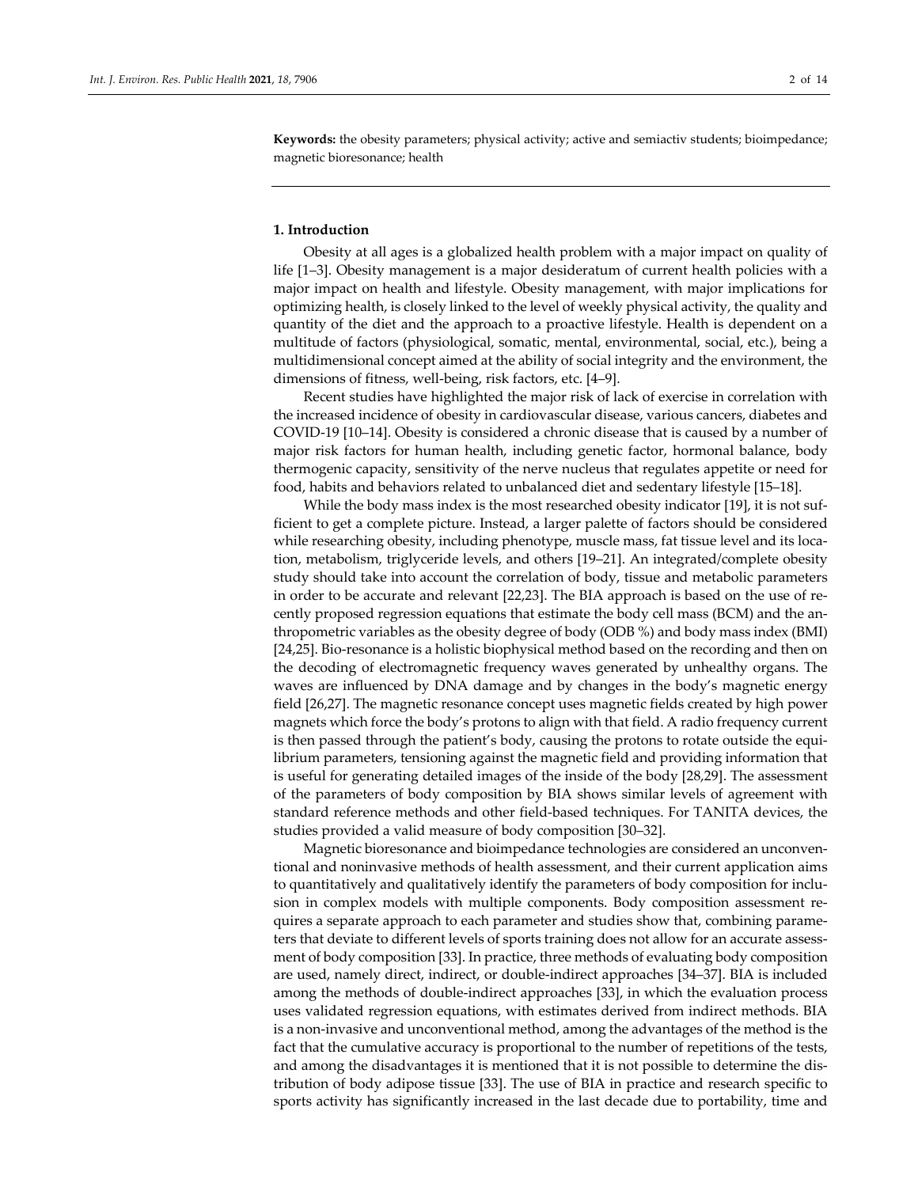**Keywords:** the obesity parameters; physical activity; active and semiactiv students; bioimpedance; magnetic bioresonance; health

## **1. Introduction**

Obesity at all ages is a globalized health problem with a major impact on quality of life [1–3]. Obesity management is a major desideratum of current health policies with a major impact on health and lifestyle. Obesity management, with major implications for optimizing health, is closely linked to the level of weekly physical activity, the quality and quantity of the diet and the approach to a proactive lifestyle. Health is dependent on a multitude of factors (physiological, somatic, mental, environmental, social, etc.), being a multidimensional concept aimed at the ability of social integrity and the environment, the dimensions of fitness, well‐being, risk factors, etc. [4–9].

Recent studies have highlighted the major risk of lack of exercise in correlation with the increased incidence of obesity in cardiovascular disease, various cancers, diabetes and COVID‐19 [10–14]. Obesity is considered a chronic disease that is caused by a number of major risk factors for human health, including genetic factor, hormonal balance, body thermogenic capacity, sensitivity of the nerve nucleus that regulates appetite or need for food, habits and behaviors related to unbalanced diet and sedentary lifestyle [15–18].

While the body mass index is the most researched obesity indicator [19], it is not sufficient to get a complete picture. Instead, a larger palette of factors should be considered while researching obesity, including phenotype, muscle mass, fat tissue level and its location, metabolism, triglyceride levels, and others [19–21]. An integrated/complete obesity study should take into account the correlation of body, tissue and metabolic parameters in order to be accurate and relevant [22,23]. The BIA approach is based on the use of recently proposed regression equations that estimate the body cell mass (BCM) and the an‐ thropometric variables as the obesity degree of body (ODB %) and body mass index (BMI) [24,25]. Bio‐resonance is a holistic biophysical method based on the recording and then on the decoding of electromagnetic frequency waves generated by unhealthy organs. The waves are influenced by DNA damage and by changes in the body's magnetic energy field [26,27]. The magnetic resonance concept uses magnetic fields created by high power magnets which force the body's protons to align with that field. A radio frequency current is then passed through the patient's body, causing the protons to rotate outside the equilibrium parameters, tensioning against the magnetic field and providing information that is useful for generating detailed images of the inside of the body [28,29]. The assessment of the parameters of body composition by BIA shows similar levels of agreement with standard reference methods and other field‐based techniques. For TANITA devices, the studies provided a valid measure of body composition [30–32].

Magnetic bioresonance and bioimpedance technologies are considered an unconven‐ tional and noninvasive methods of health assessment, and their current application aims to quantitatively and qualitatively identify the parameters of body composition for inclu‐ sion in complex models with multiple components. Body composition assessment requires a separate approach to each parameter and studies show that, combining parame‐ ters that deviate to different levels of sports training does not allow for an accurate assessment of body composition [33]. In practice, three methods of evaluating body composition are used, namely direct, indirect, or double‐indirect approaches [34–37]. BIA is included among the methods of double‐indirect approaches [33], in which the evaluation process uses validated regression equations, with estimates derived from indirect methods. BIA is a non-invasive and unconventional method, among the advantages of the method is the fact that the cumulative accuracy is proportional to the number of repetitions of the tests, and among the disadvantages it is mentioned that it is not possible to determine the dis‐ tribution of body adipose tissue [33]. The use of BIA in practice and research specific to sports activity has significantly increased in the last decade due to portability, time and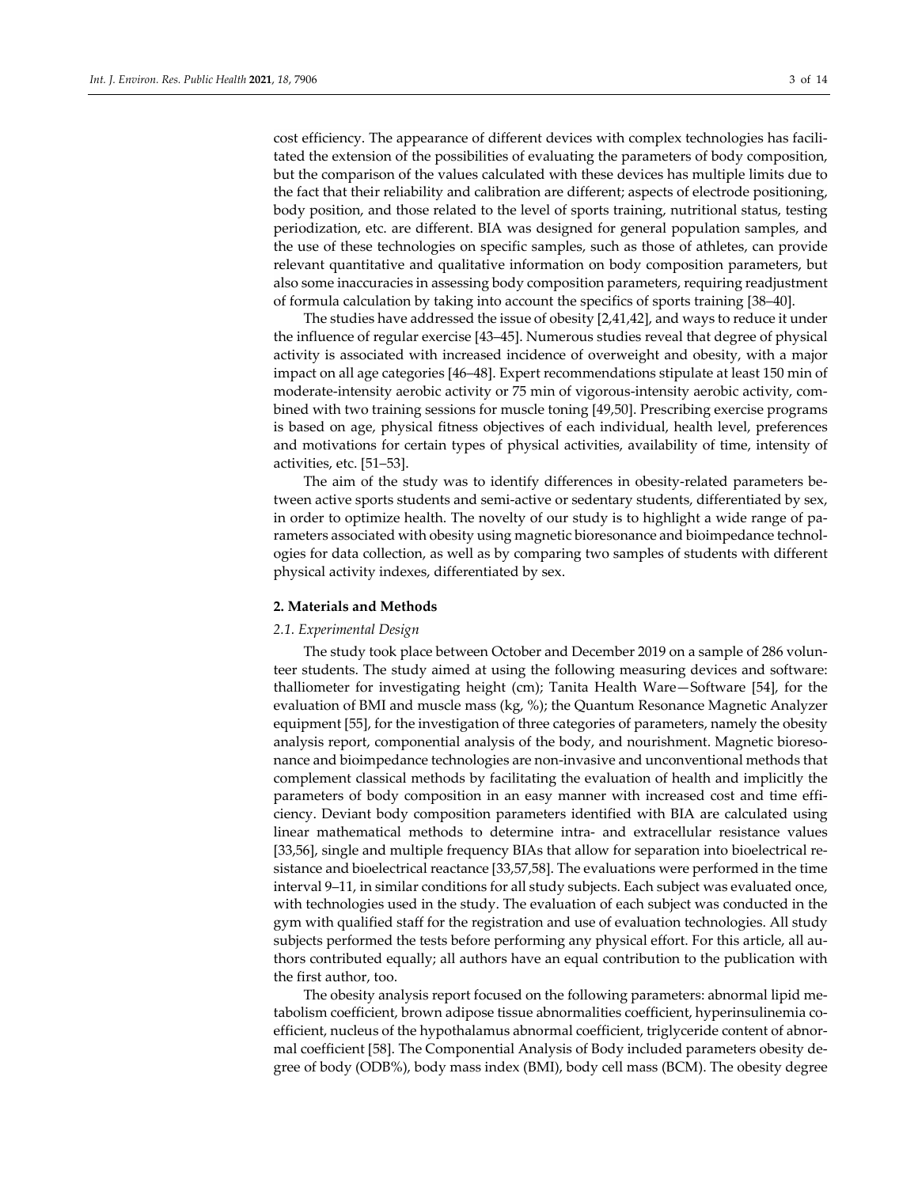cost efficiency. The appearance of different devices with complex technologies has facilitated the extension of the possibilities of evaluating the parameters of body composition, but the comparison of the values calculated with these devices has multiple limits due to the fact that their reliability and calibration are different; aspects of electrode positioning, body position, and those related to the level of sports training, nutritional status, testing periodization, etc. are different. BIA was designed for general population samples, and the use of these technologies on specific samples, such as those of athletes, can provide relevant quantitative and qualitative information on body composition parameters, but also some inaccuracies in assessing body composition parameters, requiring readjustment of formula calculation by taking into account the specifics of sports training [38–40].

The studies have addressed the issue of obesity [2,41,42], and ways to reduce it under the influence of regular exercise [43–45]. Numerous studies reveal that degree of physical activity is associated with increased incidence of overweight and obesity, with a major impact on all age categories [46–48]. Expert recommendations stipulate at least 150 min of moderate-intensity aerobic activity or 75 min of vigorous-intensity aerobic activity, combined with two training sessions for muscle toning [49,50]. Prescribing exercise programs is based on age, physical fitness objectives of each individual, health level, preferences and motivations for certain types of physical activities, availability of time, intensity of activities, etc. [51–53].

The aim of the study was to identify differences in obesity-related parameters between active sports students and semi‐active or sedentary students, differentiated by sex, in order to optimize health. The novelty of our study is to highlight a wide range of pa‐ rameters associated with obesity using magnetic bioresonance and bioimpedance technologies for data collection, as well as by comparing two samples of students with different physical activity indexes, differentiated by sex.

#### **2. Materials and Methods**

#### *2.1. Experimental Design*

The study took place between October and December 2019 on a sample of 286 volunteer students. The study aimed at using the following measuring devices and software: thalliometer for investigating height (cm); Tanita Health Ware—Software [54], for the evaluation of BMI and muscle mass (kg, %); the Quantum Resonance Magnetic Analyzer equipment [55], for the investigation of three categories of parameters, namely the obesity analysis report, componential analysis of the body, and nourishment. Magnetic bioreso‐ nance and bioimpedance technologies are non‐invasive and unconventional methods that complement classical methods by facilitating the evaluation of health and implicitly the parameters of body composition in an easy manner with increased cost and time efficiency. Deviant body composition parameters identified with BIA are calculated using linear mathematical methods to determine intra‐ and extracellular resistance values [33,56], single and multiple frequency BIAs that allow for separation into bioelectrical re‐ sistance and bioelectrical reactance [33,57,58]. The evaluations were performed in the time interval 9–11, in similar conditions for all study subjects. Each subject was evaluated once, with technologies used in the study. The evaluation of each subject was conducted in the gym with qualified staff for the registration and use of evaluation technologies. All study subjects performed the tests before performing any physical effort. For this article, all authors contributed equally; all authors have an equal contribution to the publication with the first author, too.

The obesity analysis report focused on the following parameters: abnormal lipid me‐ tabolism coefficient, brown adipose tissue abnormalities coefficient, hyperinsulinemia coefficient, nucleus of the hypothalamus abnormal coefficient, triglyceride content of abnormal coefficient [58]. The Componential Analysis of Body included parameters obesity de‐ gree of body (ODB%), body mass index (BMI), body cell mass (BCM). The obesity degree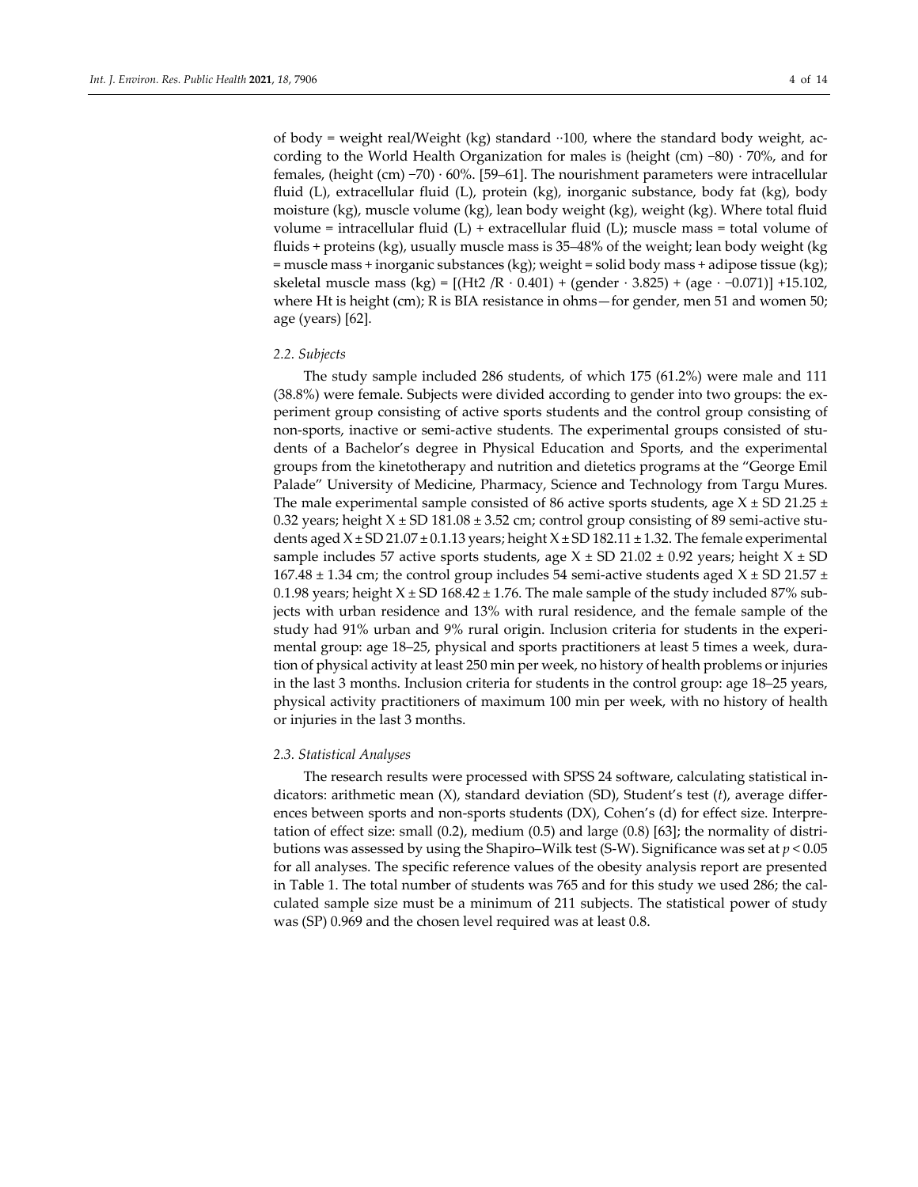of body = weight real/Weight (kg) standard ∙∙100, where the standard body weight, ac‐ cording to the World Health Organization for males is (height (cm) −80) ∙ 70%, and for females, (height (cm) −70) ∙ 60%. [59–61]. The nourishment parameters were intracellular fluid (L), extracellular fluid (L), protein (kg), inorganic substance, body fat (kg), body moisture (kg), muscle volume (kg), lean body weight (kg), weight (kg). Where total fluid volume = intracellular fluid  $(L)$  + extracellular fluid  $(L)$ ; muscle mass = total volume of fluids + proteins (kg), usually muscle mass is 35–48% of the weight; lean body weight (kg = muscle mass + inorganic substances (kg); weight = solid body mass + adipose tissue (kg); skeletal muscle mass (kg) =  $[(Ht2/R \cdot 0.401) + (gender \cdot 3.825) + (age \cdot -0.071)] +15.102$ , where Ht is height (cm); R is BIA resistance in ohms—for gender, men 51 and women 50; age (years) [62].

#### *2.2. Subjects*

The study sample included 286 students, of which 175 (61.2%) were male and 111 (38.8%) were female. Subjects were divided according to gender into two groups: the ex‐ periment group consisting of active sports students and the control group consisting of non-sports, inactive or semi-active students. The experimental groups consisted of students of a Bachelor's degree in Physical Education and Sports, and the experimental groups from the kinetotherapy and nutrition and dietetics programs at the "George Emil Palade" University of Medicine, Pharmacy, Science and Technology from Targu Mures. The male experimental sample consisted of 86 active sports students, age  $X \pm SD$  21.25  $\pm$ 0.32 years; height  $X \pm SD$  181.08  $\pm$  3.52 cm; control group consisting of 89 semi-active students aged  $X \pm SD$  21.07  $\pm$  0.1.13 years; height  $X \pm SD$  182.11  $\pm$  1.32. The female experimental sample includes 57 active sports students, age  $X \pm SD$  21.02  $\pm$  0.92 years; height  $X \pm SD$ 167.48  $\pm$  1.34 cm; the control group includes 54 semi-active students aged X  $\pm$  SD 21.57  $\pm$ 0.1.98 years; height  $X \pm SD$  168.42  $\pm$  1.76. The male sample of the study included 87% subjects with urban residence and 13% with rural residence, and the female sample of the study had 91% urban and 9% rural origin. Inclusion criteria for students in the experi‐ mental group: age 18–25, physical and sports practitioners at least 5 times a week, duration of physical activity at least 250 min per week, no history of health problems or injuries in the last 3 months. Inclusion criteria for students in the control group: age 18–25 years, physical activity practitioners of maximum 100 min per week, with no history of health or injuries in the last 3 months.

#### *2.3. Statistical Analyses*

The research results were processed with SPSS 24 software, calculating statistical in‐ dicators: arithmetic mean (X), standard deviation (SD), Student's test (*t*), average differ‐ ences between sports and non-sports students (DX), Cohen's (d) for effect size. Interpretation of effect size: small (0.2), medium (0.5) and large (0.8) [63]; the normality of distri‐ butions was assessed by using the Shapiro–Wilk test (S‐W). Significance was set at *p* < 0.05 for all analyses. The specific reference values of the obesity analysis report are presented in Table 1. The total number of students was 765 and for this study we used 286; the calculated sample size must be a minimum of 211 subjects. The statistical power of study was (SP) 0.969 and the chosen level required was at least 0.8.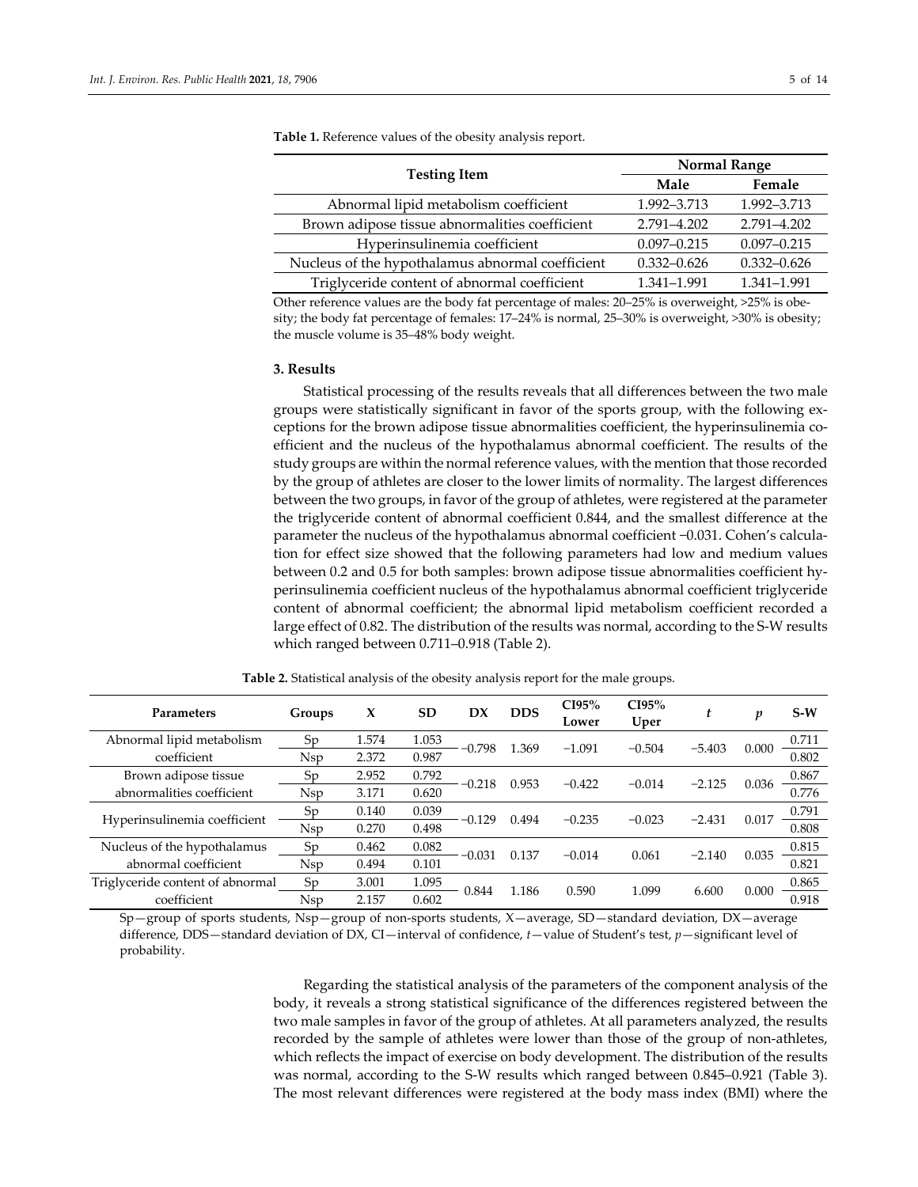|                                                  | <b>Normal Range</b> |                 |  |  |  |  |
|--------------------------------------------------|---------------------|-----------------|--|--|--|--|
| <b>Testing Item</b>                              | Male                | Female          |  |  |  |  |
| Abnormal lipid metabolism coefficient            | 1.992-3.713         | 1.992-3.713     |  |  |  |  |
| Brown adipose tissue abnormalities coefficient   | 2.791-4.202         | 2.791-4.202     |  |  |  |  |
| Hyperinsulinemia coefficient                     | $0.097 - 0.215$     | $0.097 - 0.215$ |  |  |  |  |
| Nucleus of the hypothalamus abnormal coefficient | $0.332 - 0.626$     | $0.332 - 0.626$ |  |  |  |  |
| Triglyceride content of abnormal coefficient     | 1.341-1.991         | 1.341-1.991     |  |  |  |  |

**Table 1.** Reference values of the obesity analysis report.

Other reference values are the body fat percentage of males: 20–25% is overweight, >25% is obesity; the body fat percentage of females: 17–24% is normal, 25–30% is overweight, >30% is obesity; the muscle volume is 35–48% body weight.

## **3. Results**

Statistical processing of the results reveals that all differences between the two male groups were statistically significant in favor of the sports group, with the following ex‐ ceptions for the brown adipose tissue abnormalities coefficient, the hyperinsulinemia coefficient and the nucleus of the hypothalamus abnormal coefficient. The results of the study groups are within the normal reference values, with the mention that those recorded by the group of athletes are closer to the lower limits of normality. The largest differences between the two groups, in favor of the group of athletes, were registered at the parameter the triglyceride content of abnormal coefficient 0.844, and the smallest difference at the parameter the nucleus of the hypothalamus abnormal coefficient −0.031. Cohen's calcula‐ tion for effect size showed that the following parameters had low and medium values between 0.2 and 0.5 for both samples: brown adipose tissue abnormalities coefficient hy‐ perinsulinemia coefficient nucleus of the hypothalamus abnormal coefficient triglyceride content of abnormal coefficient; the abnormal lipid metabolism coefficient recorded a large effect of 0.82. The distribution of the results was normal, according to the S-W results which ranged between 0.711–0.918 (Table 2).

| <b>Parameters</b>                | Groups     | x     | <b>SD</b> | DX       | <b>DDS</b> | CI95%<br>Lower | CI95%<br>Uper | t        | $\boldsymbol{v}$ | $S-W$ |
|----------------------------------|------------|-------|-----------|----------|------------|----------------|---------------|----------|------------------|-------|
| Abnormal lipid metabolism        | Sp         | 1.574 | 1.053     |          |            | $-1.091$       | $-0.504$      | $-5.403$ |                  | 0.711 |
| coefficient                      | <b>Nsp</b> | 2.372 | 0.987     | $-0.798$ | 1.369      |                |               |          | 0.000            | 0.802 |
| Brown adipose tissue             | Sp         | 2.952 | 0.792     | $-0.218$ | 0.953      | $-0.422$       | $-0.014$      | $-2.125$ | 0.036            | 0.867 |
| abnormalities coefficient        | <b>Nsp</b> | 3.171 | 0.620     |          |            |                |               |          |                  | 0.776 |
|                                  | Sp         | 0.140 | 0.039     |          |            | $-0.235$       | $-0.023$      | $-2.431$ | 0.017            | 0.791 |
| Hyperinsulinemia coefficient     | <b>Nsp</b> | 0.270 | 0.498     | $-0.129$ | 0.494      |                |               |          |                  | 0.808 |
| Nucleus of the hypothalamus      | Sp         | 0.462 | 0.082     | $-0.031$ | 0.137      | $-0.014$       | 0.061         |          | 0.035            | 0.815 |
| abnormal coefficient             | <b>Nsp</b> | 0.494 | 0.101     |          |            |                |               | $-2.140$ |                  | 0.821 |
| Triglyceride content of abnormal | Sp         | 3.001 | 1.095     |          |            |                | 1.099         |          | 0.000            | 0.865 |
| coefficient                      | <b>Nsp</b> | 2.157 | 0.602     | 0.844    | 1.186      | 0.590          |               | 6.600    |                  | 0.918 |

**Table 2.** Statistical analysis of the obesity analysis report for the male groups.

Sp—group of sports students, Nsp—group of non‐sports students, X—average, SD—standard deviation, DX—average difference, DDS—standard deviation of DX, CI—interval of confidence, *t*—value of Student's test, *p*—significant level of probability.

> Regarding the statistical analysis of the parameters of the component analysis of the body, it reveals a strong statistical significance of the differences registered between the two male samples in favor of the group of athletes. At all parameters analyzed, the results recorded by the sample of athletes were lower than those of the group of non-athletes, which reflects the impact of exercise on body development. The distribution of the results was normal, according to the S-W results which ranged between 0.845–0.921 (Table 3). The most relevant differences were registered at the body mass index (BMI) where the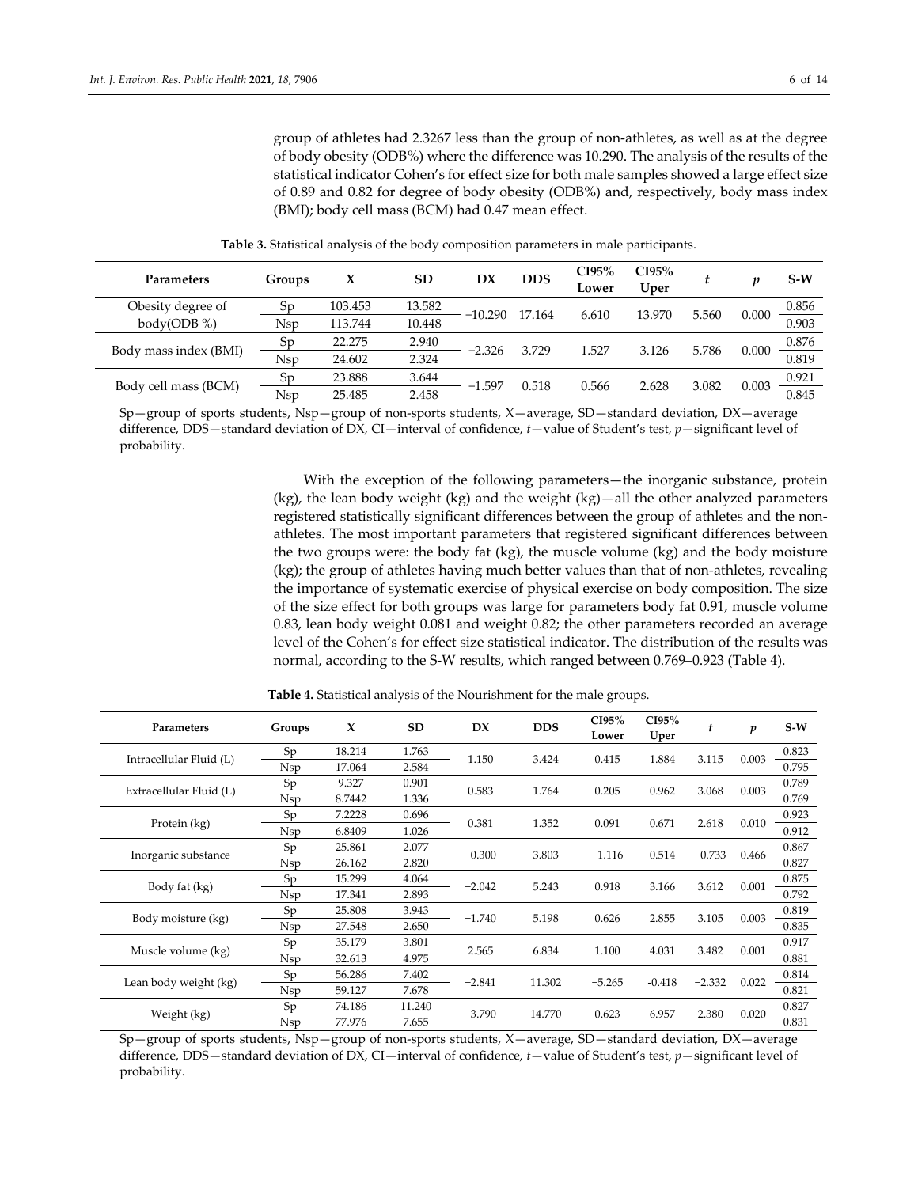group of athletes had 2.3267 less than the group of non‐athletes, as well as at the degree of body obesity (ODB%) where the difference was 10.290. The analysis of the results of the statistical indicator Cohen's for effect size for both male samples showed a large effect size of 0.89 and 0.82 for degree of body obesity (ODB%) and, respectively, body mass index (BMI); body cell mass (BCM) had 0.47 mean effect.

| Parameters            | Groups     | x       | <b>SD</b> | DX        | <b>DDS</b> | CI95%<br>Lower | CI95%<br>Uper |       |       | $S-W$ |
|-----------------------|------------|---------|-----------|-----------|------------|----------------|---------------|-------|-------|-------|
| Obesity degree of     | Sp         | 103.453 | 13.582    | $-10.290$ | 17.164     | 6.610          | 13.970        | 5.560 | 0.000 | 0.856 |
| body(ODB %)           | <b>Nsp</b> | 113.744 | 10.448    |           |            |                |               |       |       | 0.903 |
|                       | Sp         | 22.275  | 2.940     |           | 3.729      | 1.527          | 3.126         | 5.786 | 0.000 | 0.876 |
| Body mass index (BMI) | <b>Nsp</b> | 24.602  | 2.324     | $-2.326$  |            |                |               |       |       | 0.819 |
| Body cell mass (BCM)  | Sp         | 23.888  | 3.644     |           | 0.518      | 0.566          | 2.628         |       | 0.003 | 0.921 |
|                       | <b>Nsp</b> | 25.485  | 2.458     | -1.597    |            |                |               | 3.082 |       | 0.845 |

**Table 3.** Statistical analysis of the body composition parameters in male participants.

Sp—group of sports students, Nsp—group of non‐sports students, X—average, SD—standard deviation, DX—average difference, DDS—standard deviation of DX, CI—interval of confidence, *t*—value of Student's test, *p*—significant level of probability.

> With the exception of the following parameters—the inorganic substance, protein (kg), the lean body weight (kg) and the weight (kg)—all the other analyzed parameters registered statistically significant differences between the group of athletes and the nonathletes. The most important parameters that registered significant differences between the two groups were: the body fat (kg), the muscle volume (kg) and the body moisture (kg); the group of athletes having much better values than that of non‐athletes, revealing the importance of systematic exercise of physical exercise on body composition. The size of the size effect for both groups was large for parameters body fat 0.91, muscle volume 0.83, lean body weight 0.081 and weight 0.82; the other parameters recorded an average level of the Cohen's for effect size statistical indicator. The distribution of the results was normal, according to the S‐W results, which ranged between 0.769–0.923 (Table 4).

| Parameters              | Groups     | X      | SD     | DX       | <b>DDS</b> | CI95%<br>Lower | CI95%<br>Uper | t        | $\boldsymbol{p}$ | $S-W$ |
|-------------------------|------------|--------|--------|----------|------------|----------------|---------------|----------|------------------|-------|
| Intracellular Fluid (L) | Sp         | 18.214 | 1.763  | 1.150    | 3.424      | 0.415          | 1.884         | 3.115    | 0.003            | 0.823 |
|                         | <b>Nsp</b> | 17.064 | 2.584  |          |            |                |               |          |                  | 0.795 |
| Extracellular Fluid (L) | Sp         | 9.327  | 0.901  | 0.583    | 1.764      | 0.205          | 0.962         | 3.068    | 0.003            | 0.789 |
|                         | <b>Nsp</b> | 8.7442 | 1.336  |          |            |                |               |          |                  | 0.769 |
| Protein (kg)            | Sp         | 7.2228 | 0.696  | 0.381    | 1.352      | 0.091          | 0.671         | 2.618    | 0.010            | 0.923 |
|                         | <b>Nsp</b> | 6.8409 | 1.026  |          |            |                |               |          |                  | 0.912 |
| Inorganic substance     | Sp         | 25.861 | 2.077  | $-0.300$ | 3.803      | $-1.116$       | 0.514         | $-0.733$ | 0.466            | 0.867 |
|                         | Nsp        | 26.162 | 2.820  |          |            |                |               |          |                  | 0.827 |
|                         | Sp         | 15.299 | 4.064  | $-2.042$ | 5.243      | 0.918          | 3.166         | 3.612    | 0.001            | 0.875 |
| Body fat (kg)           | <b>Nsp</b> | 17.341 | 2.893  |          |            |                |               |          |                  | 0.792 |
| Body moisture (kg)      | Sp         | 25.808 | 3.943  | $-1.740$ | 5.198      | 0.626          | 2.855         | 3.105    | 0.003            | 0.819 |
|                         | <b>Nsp</b> | 27.548 | 2.650  |          |            |                |               |          |                  | 0.835 |
| Muscle volume (kg)      | Sp         | 35.179 | 3.801  | 2.565    | 6.834      | 1.100          | 4.031         | 3.482    | 0.001            | 0.917 |
|                         | <b>Nsp</b> | 32.613 | 4.975  |          |            |                |               |          |                  | 0.881 |
|                         | Sp         | 56.286 | 7.402  | $-2.841$ | 11.302     | $-5.265$       | $-0.418$      | $-2.332$ |                  | 0.814 |
| Lean body weight (kg)   | <b>Nsp</b> | 59.127 | 7.678  |          |            |                |               |          | 0.022            | 0.821 |
|                         | Sp         | 74.186 | 11.240 | $-3.790$ | 14.770     | 0.623          |               | 2.380    | 0.020            | 0.827 |
| Weight (kg)             | <b>Nsp</b> | 77.976 | 7.655  |          |            |                | 6.957         |          |                  | 0.831 |

**Table 4.** Statistical analysis of the Nourishment for the male groups.

Sp—group of sports students, Nsp—group of non‐sports students, X—average, SD—standard deviation, DX—average difference, DDS—standard deviation of DX, CI—interval of confidence, *t*—value of Student's test, *p*—significant level of probability.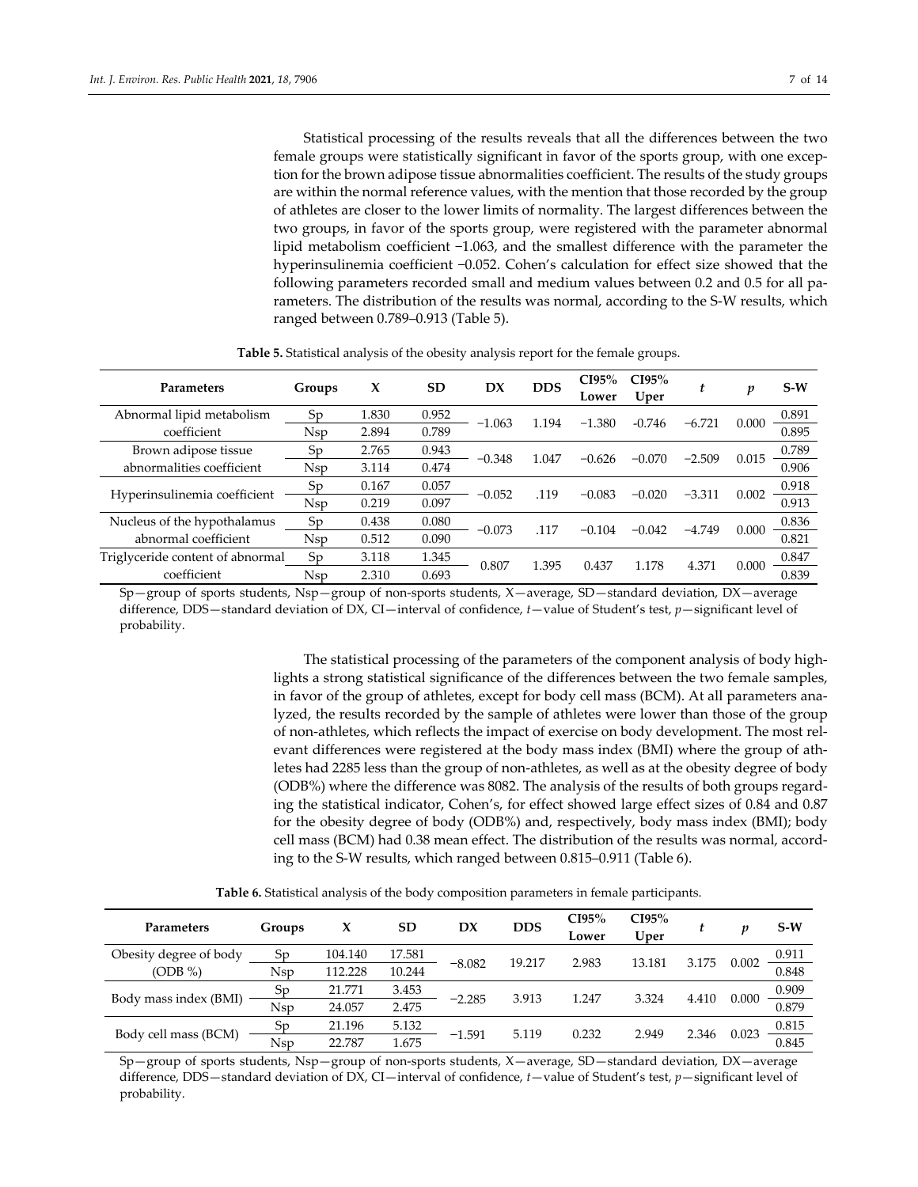Statistical processing of the results reveals that all the differences between the two female groups were statistically significant in favor of the sports group, with one exception forthe brown adipose tissue abnormalities coefficient. The results of the study groups are within the normal reference values, with the mention that those recorded by the group of athletes are closer to the lower limits of normality. The largest differences between the two groups, in favor of the sports group, were registered with the parameter abnormal lipid metabolism coefficient −1.063, and the smallest difference with the parameter the hyperinsulinemia coefficient −0.052. Cohen's calculation for effect size showed that the following parameters recorded small and medium values between 0.2 and 0.5 for all pa‐ rameters. The distribution of the results was normal, according to the S-W results, which ranged between 0.789–0.913 (Table 5).

| Parameters                       | Groups     | x     | <b>SD</b> | DX       | <b>DDS</b> | CI95%<br>Lower | CI95%<br>Uper | t        | p     | $S-W$ |
|----------------------------------|------------|-------|-----------|----------|------------|----------------|---------------|----------|-------|-------|
| Abnormal lipid metabolism        | Sp         | 1.830 | 0.952     | $-1.063$ | 1.194      | $-1.380$       | $-0.746$      | $-6.721$ | 0.000 | 0.891 |
| coefficient                      | <b>Nsp</b> | 2.894 | 0.789     |          |            |                |               |          |       | 0.895 |
| Brown adipose tissue             | Sp         | 2.765 | 0.943     | $-0.348$ | 1.047      | $-0.626$       | $-0.070$      | $-2.509$ | 0.015 | 0.789 |
| abnormalities coefficient        | <b>Nsp</b> | 3.114 | 0.474     |          |            |                |               |          |       | 0.906 |
|                                  | Sp         | 0.167 | 0.057     | $-0.052$ | .119       | $-0.083$       | $-0.020$      | $-3.311$ | 0.002 | 0.918 |
| Hyperinsulinemia coefficient     | <b>Nsp</b> | 0.219 | 0.097     |          |            |                |               |          |       | 0.913 |
| Nucleus of the hypothalamus      | Sp         | 0.438 | 0.080     | $-0.073$ | .117       | $-0.104$       | $-0.042$      | $-4.749$ | 0.000 | 0.836 |
| abnormal coefficient             | Nsp        | 0.512 | 0.090     |          |            |                |               |          |       | 0.821 |
| Triglyceride content of abnormal | Sp         | 3.118 | 1.345     |          |            |                |               |          |       | 0.847 |
| coefficient                      | Nsp        | 2.310 | 0.693     | 0.807    | 1.395      | 0.437          | 1.178         | 4.371    | 0.000 | 0.839 |

**Table 5.** Statistical analysis of the obesity analysis report for the female groups.

Sp—group of sports students, Nsp—group of non‐sports students, X—average, SD—standard deviation, DX—average difference, DDS—standard deviation of DX, CI—interval of confidence, *t*—value of Student's test, *p*—significant level of probability.

> The statistical processing of the parameters of the component analysis of body highlights a strong statistical significance of the differences between the two female samples, in favor of the group of athletes, except for body cell mass (BCM). At all parameters analyzed, the results recorded by the sample of athletes were lower than those of the group of non‐athletes, which reflects the impact of exercise on body development. The most rel‐ evant differences were registered at the body mass index (BMI) where the group of athletes had 2285 less than the group of non‐athletes, as well as at the obesity degree of body (ODB%) where the difference was 8082. The analysis of the results of both groups regard‐ ing the statistical indicator, Cohen's, for effect showed large effect sizes of 0.84 and 0.87 for the obesity degree of body (ODB%) and, respectively, body mass index (BMI); body cell mass (BCM) had 0.38 mean effect. The distribution of the results was normal, accord‐ ing to the S‐W results, which ranged between 0.815–0.911 (Table 6).

|  |  |  | <b>Table 6.</b> Statistical analysis of the body composition parameters in female participants. |  |
|--|--|--|-------------------------------------------------------------------------------------------------|--|
|--|--|--|-------------------------------------------------------------------------------------------------|--|

| Parameters             | Groups | X       | <b>SD</b> | DX       | <b>DDS</b> | CI95%<br>Lower | CI95%<br>Uper |       | p     | $S-W$                 |
|------------------------|--------|---------|-----------|----------|------------|----------------|---------------|-------|-------|-----------------------|
| Obesity degree of body | Sp     | 104.140 | 17.581    |          | 19.217     | 2.983          | 13.181        | 3.175 | 0.002 | 0.911                 |
| $(ODB\% )$             | Nsp    | 112.228 | 10.244    | $-8.082$ |            |                |               |       |       | 0.848                 |
|                        | Sp     | 21.771  | 3.453     |          |            |                | 3.324         |       |       | $\frac{0.909}{0.879}$ |
| Body mass index (BMI)  | Nsp    | 24.057  | 2.475     | $-2.285$ | 3.913      | 1.247          |               | 4.410 | 0.000 |                       |
| Body cell mass (BCM)   | Sp     | 21.196  | 5.132     |          |            |                |               |       | 0.023 | 0.815                 |
|                        | Nsp    | 22.787  | 1.675     | $-1.591$ | 5.119      | 0.232          | 2.949         | 2.346 |       | 0.845                 |

Sp—group of sports students, Nsp—group of non‐sports students, X—average, SD—standard deviation, DX—average difference, DDS—standard deviation of DX, CI—interval of confidence, *t*—value of Student's test, *p*—significant level of probability.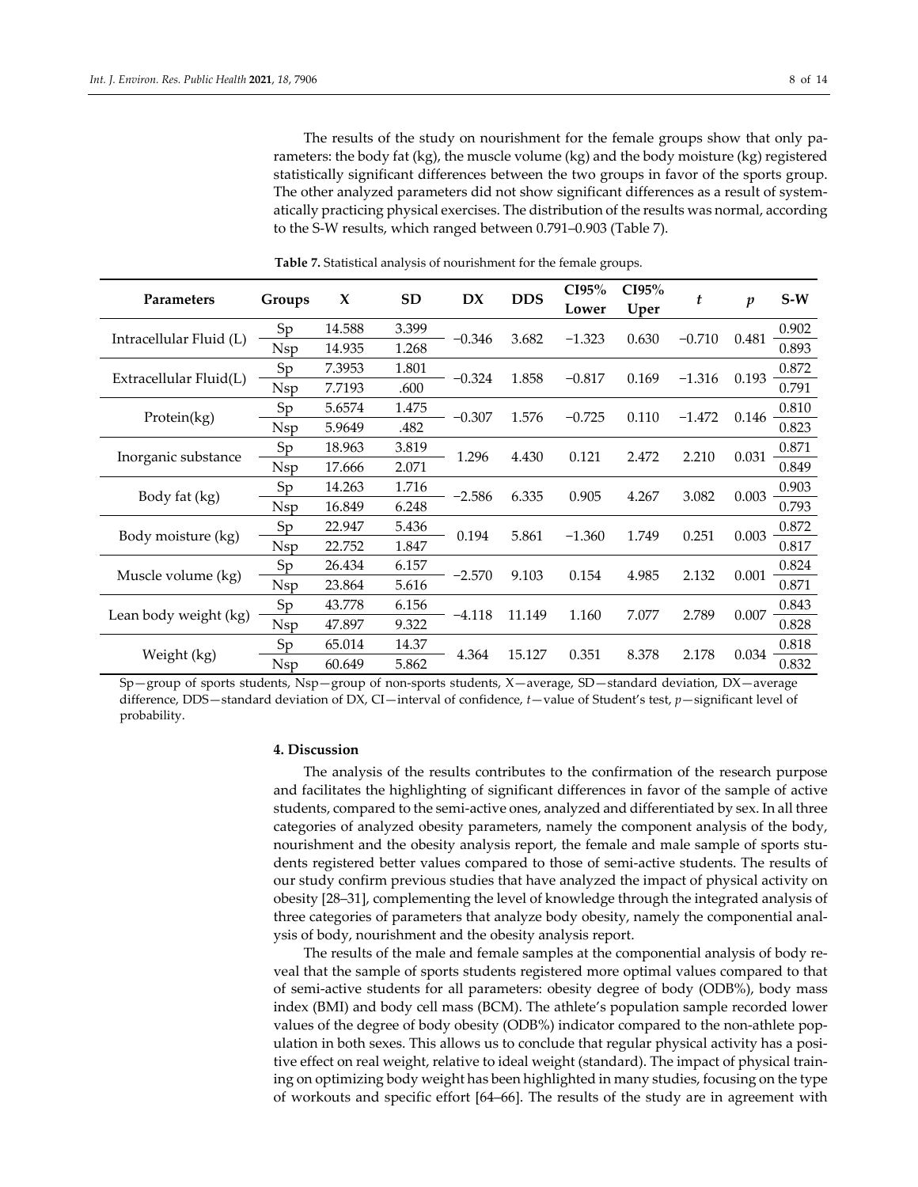The results of the study on nourishment for the female groups show that only parameters: the body fat (kg), the muscle volume (kg) and the body moisture (kg) registered statistically significant differences between the two groups in favor of the sports group. The other analyzed parameters did not show significant differences as a result of systematically practicing physical exercises. The distribution of the results was normal, according to the S‐W results, which ranged between 0.791–0.903 (Table 7).

| <b>Parameters</b>       | Groups     | X      | <b>SD</b> | DX       | <b>DDS</b> | CI95%<br>Lower  | CI95%<br>Uper | t        | $\boldsymbol{p}$ | $S-W$ |
|-------------------------|------------|--------|-----------|----------|------------|-----------------|---------------|----------|------------------|-------|
| Intracellular Fluid (L) | Sp         | 14.588 | 3.399     | $-0.346$ | 3.682      | $-1.323$        |               | $-0.710$ |                  | 0.902 |
|                         | Nsp        | 14.935 | 1.268     |          |            |                 | 0.630         |          | 0.481            | 0.893 |
|                         | Sp         | 7.3953 | 1.801     | $-0.324$ | 1.858      | $-0.817$        | 0.169         | $-1.316$ | 0.193            | 0.872 |
| Extracellular Fluid(L)  | <b>Nsp</b> | 7.7193 | .600      |          |            |                 |               |          |                  | 0.791 |
|                         | Sp         | 5.6574 | 1.475     | $-0.307$ | 1.576      | $-0.725$        | 0.110         | $-1.472$ |                  | 0.810 |
| Protein(kg)             | Nsp        | 5.9649 | .482      |          |            |                 |               |          | 0.146            | 0.823 |
| Inorganic substance     | Sp         | 18.963 | 3.819     | 1.296    | 4.430      | 0.121           | 2.472         | 2.210    | 0.031            | 0.871 |
|                         | Nsp        | 17.666 | 2.071     |          |            |                 |               |          |                  | 0.849 |
|                         | Sp         | 14.263 | 1.716     | $-2.586$ | 6.335      | 0.905           | 4.267         | 3.082    | 0.003            | 0.903 |
| Body fat (kg)           | Nsp        | 16.849 | 6.248     |          |            |                 |               |          |                  | 0.793 |
| Body moisture (kg)      | Sp         | 22.947 | 5.436     | 0.194    | 5.861      | $-1.360$        | 1.749         | 0.251    | 0.003            | 0.872 |
|                         | Nsp        | 22.752 | 1.847     |          |            |                 |               |          |                  | 0.817 |
|                         | Sp         | 26.434 | 6.157     |          |            |                 |               |          |                  | 0.824 |
| Muscle volume (kg)      | Nsp        | 23.864 | 5.616     | $-2.570$ | 9.103      | 0.154           | 4.985         | 2.132    | 0.001            | 0.871 |
|                         | Sp         | 43.778 | 6.156     |          |            |                 |               |          | 0.007            | 0.843 |
| Lean body weight (kg)   | <b>Nsp</b> | 47.897 | 9.322     | $-4.118$ | 11.149     | 1.160           | 7.077         | 2.789    |                  | 0.828 |
|                         | Sp         | 65.014 | 14.37     |          |            |                 | 8.378         |          |                  | 0.818 |
| Weight (kg)             | Nsp        | 60.649 | 5.862     | 4.364    |            | 0.351<br>15.127 |               | 2.178    | 0.034            | 0.832 |

**Table 7.** Statistical analysis of nourishment for the female groups.

Sp—group of sports students, Nsp—group of non‐sports students, X—average, SD—standard deviation, DX—average difference, DDS—standard deviation of DX, CI—interval of confidence, *t*—value of Student's test, *p*—significant level of probability.

## **4. Discussion**

The analysis of the results contributes to the confirmation of the research purpose and facilitates the highlighting of significant differences in favor of the sample of active students, compared to the semi‐active ones, analyzed and differentiated by sex. In all three categories of analyzed obesity parameters, namely the component analysis of the body, nourishment and the obesity analysis report, the female and male sample of sports students registered better values compared to those of semi‐active students. The results of our study confirm previous studies that have analyzed the impact of physical activity on obesity [28–31], complementing the level of knowledge through the integrated analysis of three categories of parameters that analyze body obesity, namely the componential anal‐ ysis of body, nourishment and the obesity analysis report.

The results of the male and female samples at the componential analysis of body re‐ veal that the sample of sports students registered more optimal values compared to that of semi‐active students for all parameters: obesity degree of body (ODB%), body mass index (BMI) and body cell mass (BCM). The athlete's population sample recorded lower values of the degree of body obesity (ODB%) indicator compared to the non‐athlete pop‐ ulation in both sexes. This allows us to conclude that regular physical activity has a positive effect on real weight, relative to ideal weight (standard). The impact of physical train‐ ing on optimizing body weight has been highlighted in many studies, focusing on the type of workouts and specific effort [64–66]. The results of the study are in agreement with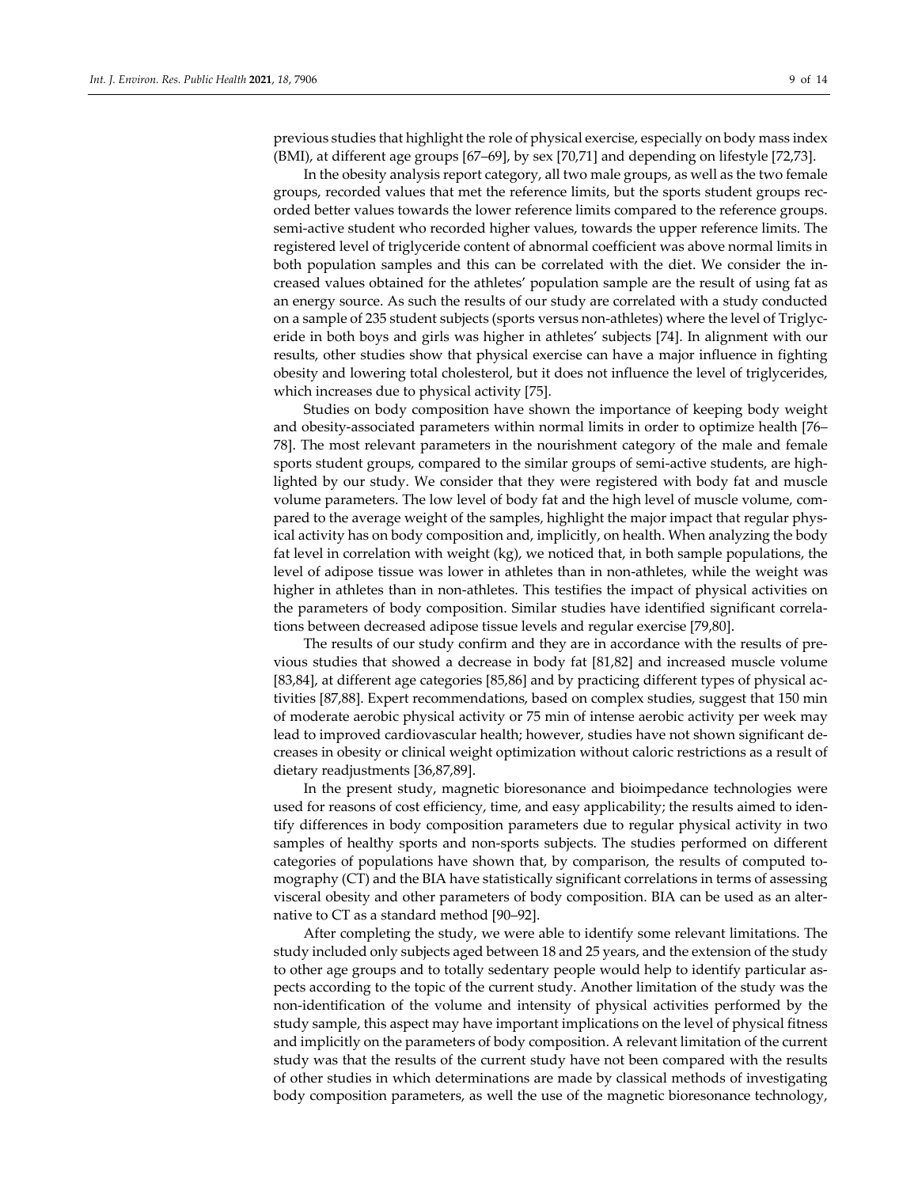previous studies that highlight the role of physical exercise, especially on body mass index (BMI), at different age groups [67–69], by sex [70,71] and depending on lifestyle [72,73].

In the obesity analysis report category, all two male groups, as well as the two female groups, recorded values that met the reference limits, but the sports student groups rec‐ orded better values towards the lower reference limits compared to the reference groups. semi-active student who recorded higher values, towards the upper reference limits. The registered level of triglyceride content of abnormal coefficient was above normal limits in both population samples and this can be correlated with the diet. We consider the in‐ creased values obtained for the athletes' population sample are the result of using fat as an energy source. As such the results of our study are correlated with a study conducted on a sample of 235 student subjects (sports versus non‐athletes) where the level of Triglyc‐ eride in both boys and girls was higher in athletes' subjects [74]. In alignment with our results, other studies show that physical exercise can have a major influence in fighting obesity and lowering total cholesterol, but it does not influence the level of triglycerides, which increases due to physical activity [75].

Studies on body composition have shown the importance of keeping body weight and obesity‐associated parameters within normal limits in order to optimize health [76– 78]. The most relevant parameters in the nourishment category of the male and female sports student groups, compared to the similar groups of semi-active students, are highlighted by our study. We consider that they were registered with body fat and muscle volume parameters. The low level of body fat and the high level of muscle volume, com‐ pared to the average weight of the samples, highlight the major impact that regular phys‐ ical activity has on body composition and, implicitly, on health. When analyzing the body fat level in correlation with weight (kg), we noticed that, in both sample populations, the level of adipose tissue was lower in athletes than in non-athletes, while the weight was higher in athletes than in non-athletes. This testifies the impact of physical activities on the parameters of body composition. Similar studies have identified significant correla‐ tions between decreased adipose tissue levels and regular exercise [79,80].

The results of our study confirm and they are in accordance with the results of pre‐ vious studies that showed a decrease in body fat [81,82] and increased muscle volume [83,84], at different age categories [85,86] and by practicing different types of physical activities [87,88]. Expert recommendations, based on complex studies, suggest that 150 min of moderate aerobic physical activity or 75 min of intense aerobic activity per week may lead to improved cardiovascular health; however, studies have not shown significant de‐ creases in obesity or clinical weight optimization without caloric restrictions as a result of dietary readjustments [36,87,89].

In the present study, magnetic bioresonance and bioimpedance technologies were used for reasons of cost efficiency, time, and easy applicability; the results aimed to identify differences in body composition parameters due to regular physical activity in two samples of healthy sports and non-sports subjects. The studies performed on different categories of populations have shown that, by comparison, the results of computed to‐ mography (CT) and the BIA have statistically significant correlations in terms of assessing visceral obesity and other parameters of body composition. BIA can be used as an alter‐ native to CT as a standard method [90–92].

After completing the study, we were able to identify some relevant limitations. The study included only subjects aged between 18 and 25 years, and the extension of the study to other age groups and to totally sedentary people would help to identify particular as‐ pects according to the topic of the current study. Another limitation of the study was the non‐identification of the volume and intensity of physical activities performed by the study sample, this aspect may have important implications on the level of physical fitness and implicitly on the parameters of body composition. A relevant limitation of the current study was that the results of the current study have not been compared with the results of other studies in which determinations are made by classical methods of investigating body composition parameters, as well the use of the magnetic bioresonance technology,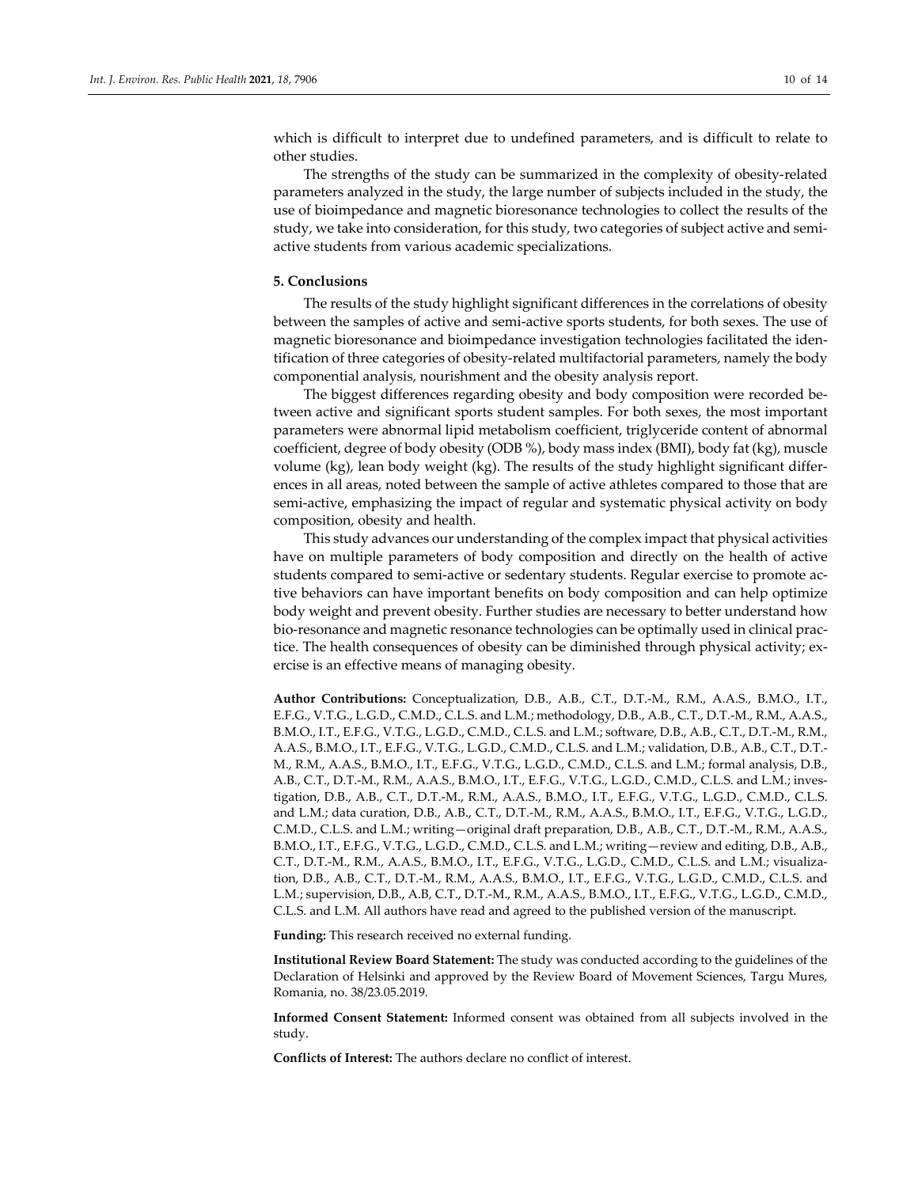which is difficult to interpret due to undefined parameters, and is difficult to relate to other studies.

The strengths of the study can be summarized in the complexity of obesity‐related parameters analyzed in the study, the large number of subjects included in the study, the use of bioimpedance and magnetic bioresonance technologies to collect the results of the study, we take into consideration, for this study, two categories of subject active and semi‐ active students from various academic specializations.

#### **5. Conclusions**

The results of the study highlight significant differences in the correlations of obesity between the samples of active and semi‐active sports students, for both sexes. The use of magnetic bioresonance and bioimpedance investigation technologies facilitated the iden‐ tification of three categories of obesity‐related multifactorial parameters, namely the body componential analysis, nourishment and the obesity analysis report.

The biggest differences regarding obesity and body composition were recorded be‐ tween active and significant sports student samples. For both sexes, the most important parameters were abnormal lipid metabolism coefficient, triglyceride content of abnormal coefficient, degree of body obesity (ODB %), body mass index (BMI), body fat (kg), muscle volume (kg), lean body weight (kg). The results of the study highlight significant differ‐ ences in all areas, noted between the sample of active athletes compared to those that are semi-active, emphasizing the impact of regular and systematic physical activity on body composition, obesity and health.

This study advances our understanding of the complex impact that physical activities have on multiple parameters of body composition and directly on the health of active students compared to semi‐active or sedentary students. Regular exercise to promote ac‐ tive behaviors can have important benefits on body composition and can help optimize body weight and prevent obesity. Further studies are necessary to better understand how bio‐resonance and magnetic resonance technologies can be optimally used in clinical prac‐ tice. The health consequences of obesity can be diminished through physical activity; ex‐ ercise is an effective means of managing obesity.

**Author Contributions:** Conceptualization, D.B., A.B., C.T., D.T.‐M., R.M., A.A.S., B.M.O., I.T., E.F.G., V.T.G., L.G.D., C.M.D., C.L.S. and L.M.; methodology, D.B., A.B., C.T., D.T.‐M., R.M., A.A.S., B.M.O., I.T., E.F.G., V.T.G., L.G.D., C.M.D., C.L.S. and L.M.; software, D.B., A.B., C.T., D.T.‐M., R.M., A.A.S., B.M.O., I.T., E.F.G., V.T.G., L.G.D., C.M.D., C.L.S. and L.M.; validation, D.B., A.B., C.T., D.T.‐ M., R.M., A.A.S., B.M.O., I.T., E.F.G., V.T.G., L.G.D., C.M.D., C.L.S. and L.M.; formal analysis, D.B., A.B., C.T., D.T.‐M., R.M., A.A.S., B.M.O., I.T., E.F.G., V.T.G., L.G.D., C.M.D., C.L.S. and L.M.; inves‐ tigation, D.B., A.B., C.T., D.T.‐M., R.M., A.A.S., B.M.O., I.T., E.F.G., V.T.G., L.G.D., C.M.D., C.L.S. and L.M.; data curation, D.B., A.B., C.T., D.T.‐M., R.M., A.A.S., B.M.O., I.T., E.F.G., V.T.G., L.G.D., C.M.D., C.L.S. and L.M.; writing—original draft preparation, D.B., A.B., C.T., D.T.‐M., R.M., A.A.S., B.M.O., I.T., E.F.G., V.T.G., L.G.D., C.M.D., C.L.S. and L.M.; writing—review and editing, D.B., A.B., C.T., D.T.‐M., R.M., A.A.S., B.M.O., I.T., E.F.G., V.T.G., L.G.D., C.M.D., C.L.S. and L.M.; visualiza‐ tion, D.B., A.B., C.T., D.T.‐M., R.M., A.A.S., B.M.O., I.T., E.F.G., V.T.G., L.G.D., C.M.D., C.L.S. and L.M.; supervision, D.B., A.B, C.T., D.T.‐M., R.M., A.A.S., B.M.O., I.T., E.F.G., V.T.G., L.G.D., C.M.D., C.L.S. and L.M. All authors have read and agreed to the published version of the manuscript.

**Funding:** This research received no external funding.

**Institutional Review Board Statement:** The study was conducted according to the guidelines of the Declaration of Helsinki and approved by the Review Board of Movement Sciences, Targu Mures, Romania, no. 38/23.05.2019.

**Informed Consent Statement:** Informed consent was obtained from all subjects involved in the study.

**Conflicts of Interest:** The authors declare no conflict of interest.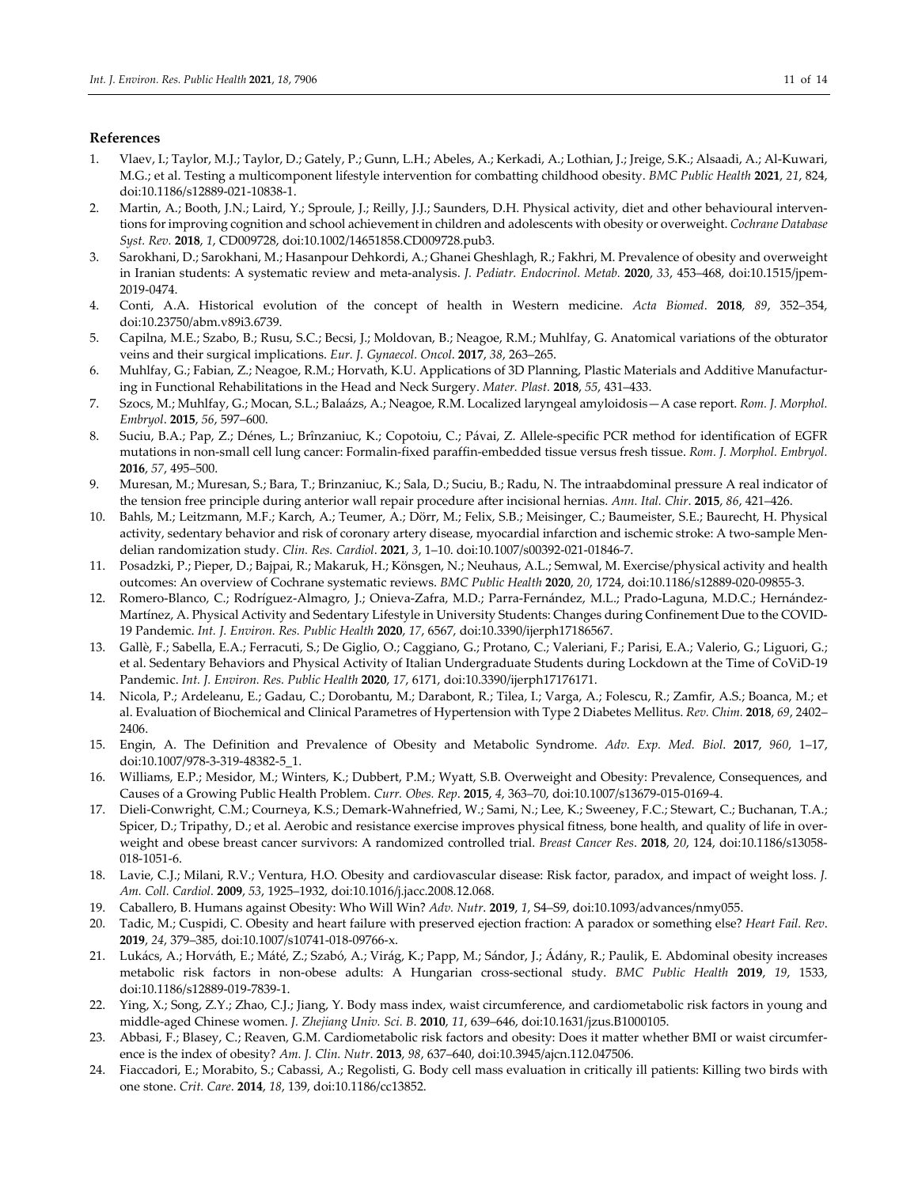## **References**

- 1. Vlaev, I.; Taylor, M.J.; Taylor, D.; Gately, P.; Gunn, L.H.; Abeles, A.; Kerkadi, A.; Lothian, J.; Jreige, S.K.; Alsaadi, A.; Al‐Kuwari, M.G.; et al. Testing a multicomponent lifestyle intervention for combatting childhood obesity. *BMC Public Health* **2021**, *21*, 824, doi:10.1186/s12889‐021‐10838‐1.
- 2. Martin, A.; Booth, J.N.; Laird, Y.; Sproule, J.; Reilly, J.J.; Saunders, D.H. Physical activity, diet and other behavioural interventions forimproving cognition and school achievement in children and adolescents with obesity or overweight. *Cochrane Database Syst. Rev.* **2018**, *1*, CD009728, doi:10.1002/14651858.CD009728.pub3.
- 3. Sarokhani, D.; Sarokhani, M.; Hasanpour Dehkordi, A.; Ghanei Gheshlagh, R.; Fakhri, M. Prevalence of obesity and overweight in Iranian students: A systematic review and meta‐analysis. *J. Pediatr. Endocrinol. Metab.* **2020**, *33*, 453–468, doi:10.1515/jpem‐ 2019‐0474.
- 4. Conti, A.A. Historical evolution of the concept of health in Western medicine. *Acta Biomed*. **2018**, *89*, 352–354, doi:10.23750/abm.v89i3.6739.
- 5. Capilna, M.E.; Szabo, B.; Rusu, S.C.; Becsi, J.; Moldovan, B.; Neagoe, R.M.; Muhlfay, G. Anatomical variations of the obturator veins and their surgical implications. *Eur. J. Gynaecol. Oncol*. **2017**, *38*, 263–265.
- 6. Muhlfay, G.; Fabian, Z.; Neagoe, R.M.; Horvath, K.U. Applications of 3D Planning, Plastic Materials and Additive Manufactur‐ ing in Functional Rehabilitations in the Head and Neck Surgery. *Mater. Plast.* **2018**, *55*, 431–433.
- 7. Szocs, M.; Muhlfay, G.; Mocan, S.L.; Balaázs, A.; Neagoe, R.M. Localized laryngeal amyloidosis—A case report. *Rom. J. Morphol. Embryol*. **2015**, *56*, 597–600.
- 8. Suciu, B.A.; Pap, Z.; Dénes, L.; Brînzaniuc, K.; Copotoiu, C.; Pávai, Z. Allele‐specific PCR method for identification of EGFR mutations in non‐small cell lung cancer: Formalin‐fixed paraffin‐embedded tissue versus fresh tissue. *Rom. J. Morphol. Embryol.* **2016**, *57*, 495–500.
- 9. Muresan, M.; Muresan, S.; Bara, T.; Brinzaniuc, K.; Sala, D.; Suciu, B.; Radu, N. The intraabdominal pressure A real indicator of the tension free principle during anterior wall repair procedure after incisional hernias. *Ann. Ital. Chir*. **2015**, *86*, 421–426.
- 10. Bahls, M.; Leitzmann, M.F.; Karch, A.; Teumer, A.; Dörr, M.; Felix, S.B.; Meisinger, C.; Baumeister, S.E.; Baurecht, H. Physical activity, sedentary behavior and risk of coronary artery disease, myocardial infarction and ischemic stroke: A two-sample Mendelian randomization study. *Clin. Res. Cardiol*. **2021**, *3*, 1–10. doi:10.1007/s00392‐021‐01846‐7.
- 11. Posadzki, P.; Pieper, D.; Bajpai, R.; Makaruk, H.; Könsgen, N.; Neuhaus, A.L.; Semwal, M. Exercise/physical activity and health outcomes: An overview of Cochrane systematic reviews. *BMC Public Health* **2020**, *20*, 1724, doi:10.1186/s12889‐020‐09855‐3.
- 12. Romero‐Blanco, C.; Rodríguez‐Almagro, J.; Onieva‐Zafra, M.D.; Parra‐Fernández, M.L.; Prado‐Laguna, M.D.C.; Hernández‐ Martínez, A. Physical Activity and Sedentary Lifestyle in University Students: Changes during Confinement Due to the COVID‐ 19 Pandemic. *Int. J. Environ. Res. Public Health* **2020**, *17*, 6567, doi:10.3390/ijerph17186567.
- 13. Gallè, F.; Sabella, E.A.; Ferracuti, S.; De Giglio, O.; Caggiano, G.; Protano, C.; Valeriani, F.; Parisi, E.A.; Valerio, G.; Liguori, G.; et al. Sedentary Behaviors and Physical Activity of Italian Undergraduate Students during Lockdown at the Time of CoViD‐19 Pandemic. *Int. J. Environ. Res. Public Health* **2020**, *17*, 6171, doi:10.3390/ijerph17176171.
- 14. Nicola, P.; Ardeleanu, E.; Gadau, C.; Dorobantu, M.; Darabont, R.; Tilea, I.; Varga, A.; Folescu, R.; Zamfir, A.S.; Boanca, M.; et al. Evaluation of Biochemical and Clinical Parametres of Hypertension with Type 2 Diabetes Mellitus. *Rev. Chim.* **2018**, *69*, 2402– 2406.
- 15. Engin, A. The Definition and Prevalence of Obesity and Metabolic Syndrome. *Adv. Exp. Med. Biol*. **2017**, *960*, 1–17, doi:10.1007/978‐3‐319‐48382‐5\_1.
- 16. Williams, E.P.; Mesidor, M.; Winters, K.; Dubbert, P.M.; Wyatt, S.B. Overweight and Obesity: Prevalence, Consequences, and Causes of a Growing Public Health Problem. *Curr. Obes. Rep*. **2015**, *4*, 363–70, doi:10.1007/s13679‐015‐0169‐4.
- 17. Dieli‐Conwright, C.M.; Courneya, K.S.; Demark‐Wahnefried, W.; Sami, N.; Lee, K.; Sweeney, F.C.; Stewart, C.; Buchanan, T.A.; Spicer, D.; Tripathy, D.; et al. Aerobic and resistance exercise improves physical fitness, bone health, and quality of life in overweight and obese breast cancer survivors: A randomized controlled trial. *Breast Cancer Res*. **2018**, *20*, 124, doi:10.1186/s13058‐ 018‐1051‐6.
- 18. Lavie, C.J.; Milani, R.V.; Ventura, H.O. Obesity and cardiovascular disease: Risk factor, paradox, and impact of weight loss. *J. Am. Coll. Cardiol.* **2009**, *53*, 1925–1932, doi:10.1016/j.jacc.2008.12.068.
- 19. Caballero, B. Humans against Obesity: Who Will Win? *Adv. Nutr*. **2019**, *1*, S4–S9, doi:10.1093/advances/nmy055.
- 20. Tadic, M.; Cuspidi, C. Obesity and heart failure with preserved ejection fraction: A paradox or something else? *Heart Fail. Rev*. **2019**, *24*, 379–385, doi:10.1007/s10741‐018‐09766‐x.
- 21. Lukács, A.; Horváth, E.; Máté, Z.; Szabó, A.; Virág, K.; Papp, M.; Sándor, J.; Ádány, R.; Paulik, E. Abdominal obesity increases metabolic risk factors in non‐obese adults: A Hungarian cross‐sectional study. *BMC Public Health* **2019**, *19*, 1533, doi:10.1186/s12889‐019‐7839‐1.
- 22. Ying, X.; Song, Z.Y.; Zhao, C.J.; Jiang, Y. Body mass index, waist circumference, and cardiometabolic risk factors in young and middle‐aged Chinese women. *J. Zhejiang Univ. Sci. B*. **2010**, *11*, 639–646, doi:10.1631/jzus.B1000105.
- 23. Abbasi, F.; Blasey, C.; Reaven, G.M. Cardiometabolic risk factors and obesity: Does it matter whether BMI or waist circumference is the index of obesity? *Am. J. Clin. Nutr*. **2013**, *98*, 637–640, doi:10.3945/ajcn.112.047506.
- 24. Fiaccadori, E.; Morabito, S.; Cabassi, A.; Regolisti, G. Body cell mass evaluation in critically ill patients: Killing two birds with one stone. *Crit. Care*. **2014**, *18*, 139, doi:10.1186/cc13852.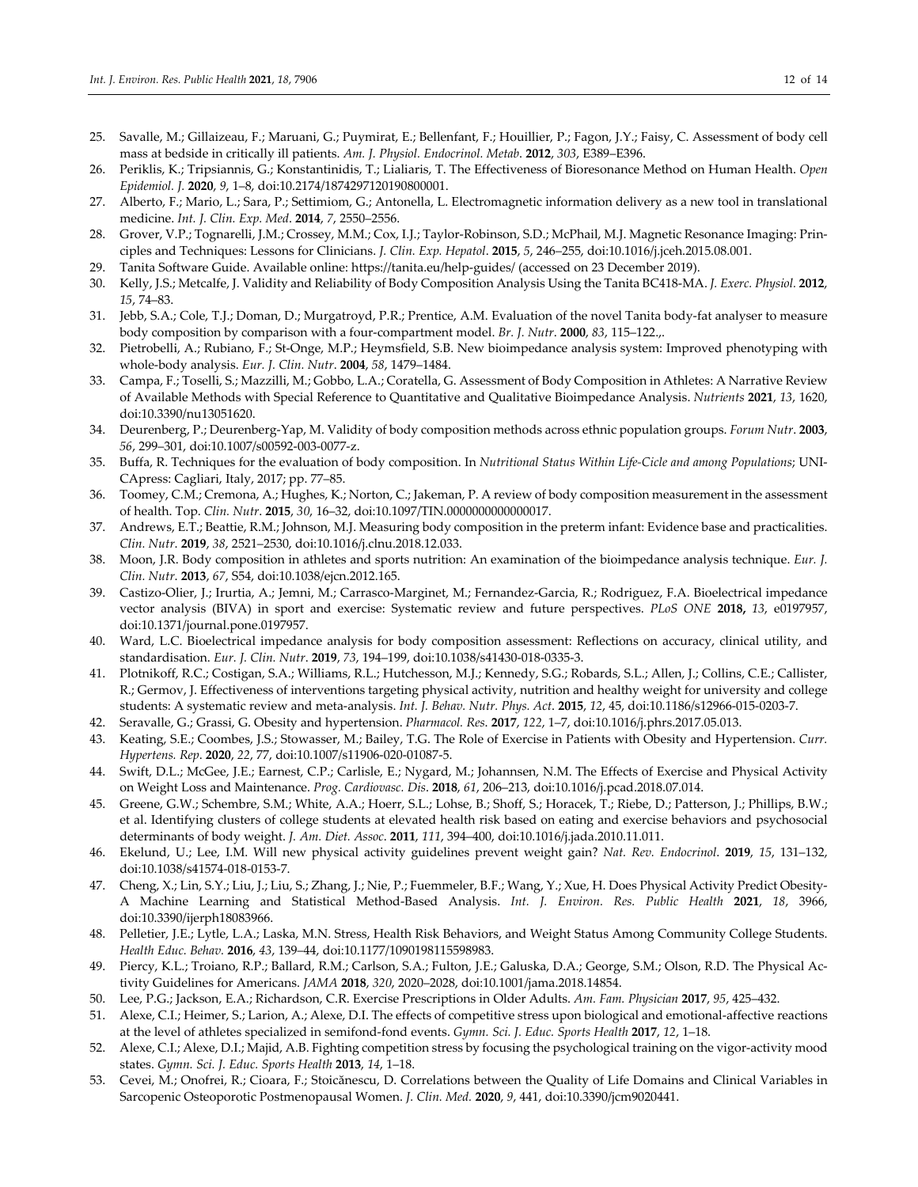- 25. Savalle, M.; Gillaizeau, F.; Maruani, G.; Puymirat, E.; Bellenfant, F.; Houillier, P.; Fagon, J.Y.; Faisy, C. Assessment of body cell mass at bedside in critically ill patients. *Am. J. Physiol. Endocrinol. Metab*. **2012**, *303*, E389–E396.
- 26. Periklis, K.; Tripsiannis, G.; Konstantinidis, T.; Lialiaris, T. The Effectiveness of Bioresonance Method on Human Health. *Open Epidemiol. J.* **2020**, *9*, 1–8, doi:10.2174/1874297120190800001.
- 27. Alberto, F.; Mario, L.; Sara, P.; Settimiom, G.; Antonella, L. Electromagnetic information delivery as a new tool in translational medicine. *Int. J. Clin. Exp. Med*. **2014**, *7*, 2550–2556.
- 28. Grover, V.P.; Tognarelli, J.M.; Crossey, M.M.; Cox, I.J.; Taylor‐Robinson, S.D.; McPhail, M.J. Magnetic Resonance Imaging: Prin‐ ciples and Techniques: Lessons for Clinicians. *J. Clin. Exp. Hepatol*. **2015**, *5*, 246–255, doi:10.1016/j.jceh.2015.08.001.
- 29. Tanita Software Guide. Available online: https://tanita.eu/help‐guides/ (accessed on 23 December 2019).
- 30. Kelly, J.S.; Metcalfe, J. Validity and Reliability of Body Composition Analysis Using the Tanita BC418‐MA. *J. Exerc. Physiol.* **2012**, *15*, 74–83.
- 31. Jebb, S.A.; Cole, T.J.; Doman, D.; Murgatroyd, P.R.; Prentice, A.M. Evaluation of the novel Tanita body-fat analyser to measure body composition by comparison with a four‐compartment model. *Br. J. Nutr*. **2000**, *83*, 115–122.,.
- 32. Pietrobelli, A.; Rubiano, F.; St‐Onge, M.P.; Heymsfield, S.B. New bioimpedance analysis system: Improved phenotyping with whole‐body analysis. *Eur. J. Clin. Nutr*. **2004**, *58*, 1479–1484.
- 33. Campa, F.; Toselli, S.; Mazzilli, M.; Gobbo, L.A.; Coratella, G. Assessment of Body Composition in Athletes: A Narrative Review of Available Methods with Special Reference to Quantitative and Qualitative Bioimpedance Analysis. *Nutrients* **2021**, *13*, 1620, doi:10.3390/nu13051620.
- 34. Deurenberg, P.; Deurenberg‐Yap, M. Validity of body composition methods across ethnic population groups. *Forum Nutr*. **2003**, *56*, 299–301, doi:10.1007/s00592‐003‐0077‐z.
- 35. Buffa, R. Techniques for the evaluation of body composition. In *Nutritional Status Within Life‐Cicle and among Populations*; UNI‐ CApress: Cagliari, Italy, 2017; pp. 77–85.
- 36. Toomey, C.M.; Cremona, A.; Hughes, K.; Norton, C.; Jakeman, P. A review of body composition measurement in the assessment of health. Top. *Clin. Nutr*. **2015**, *30*, 16–32, doi:10.1097/TIN.0000000000000017.
- 37. Andrews, E.T.; Beattie, R.M.; Johnson, M.J. Measuring body composition in the preterm infant: Evidence base and practicalities. *Clin. Nutr*. **2019**, *38*, 2521–2530, doi:10.1016/j.clnu.2018.12.033.
- 38. Moon, J.R. Body composition in athletes and sports nutrition: An examination of the bioimpedance analysis technique. *Eur. J. Clin. Nutr*. **2013**, *67*, S54, doi:10.1038/ejcn.2012.165.
- 39. Castizo‐Olier, J.; Irurtia, A.; Jemni, M.; Carrasco‐Marginet, M.; Fernandez‐Garcia, R.; Rodriguez, F.A. Bioelectrical impedance vector analysis (BIVA) in sport and exercise: Systematic review and future perspectives. *PLoS ONE* **2018,** *13*, e0197957, doi:10.1371/journal.pone.0197957.
- 40. Ward, L.C. Bioelectrical impedance analysis for body composition assessment: Reflections on accuracy, clinical utility, and standardisation. *Eur. J. Clin. Nutr*. **2019**, *73*, 194–199, doi:10.1038/s41430‐018‐0335‐3.
- 41. Plotnikoff, R.C.; Costigan, S.A.; Williams, R.L.; Hutchesson, M.J.; Kennedy, S.G.; Robards, S.L.; Allen, J.; Collins, C.E.; Callister, R.; Germov, J. Effectiveness of interventions targeting physical activity, nutrition and healthy weight for university and college students: A systematic review and meta‐analysis. *Int. J. Behav. Nutr. Phys. Act*. **2015**, *12*, 45, doi:10.1186/s12966‐015‐0203‐7.
- 42. Seravalle, G.; Grassi, G. Obesity and hypertension. *Pharmacol. Res*. **2017**, *122*, 1–7, doi:10.1016/j.phrs.2017.05.013.
- 43. Keating, S.E.; Coombes, J.S.; Stowasser, M.; Bailey, T.G. The Role of Exercise in Patients with Obesity and Hypertension. *Curr. Hypertens. Rep*. **2020**, *22*, 77, doi:10.1007/s11906‐020‐01087‐5.
- 44. Swift, D.L.; McGee, J.E.; Earnest, C.P.; Carlisle, E.; Nygard, M.; Johannsen, N.M. The Effects of Exercise and Physical Activity on Weight Loss and Maintenance. *Prog. Cardiovasc. Dis*. **2018**, *61*, 206–213, doi:10.1016/j.pcad.2018.07.014.
- 45. Greene, G.W.; Schembre, S.M.; White, A.A.; Hoerr, S.L.; Lohse, B.; Shoff, S.; Horacek, T.; Riebe, D.; Patterson, J.; Phillips, B.W.; et al. Identifying clusters of college students at elevated health risk based on eating and exercise behaviors and psychosocial determinants of body weight. *J. Am. Diet. Assoc*. **2011**, *111*, 394–400, doi:10.1016/j.jada.2010.11.011.
- 46. Ekelund, U.; Lee, I.M. Will new physical activity guidelines prevent weight gain? *Nat. Rev. Endocrinol*. **2019**, *15*, 131–132, doi:10.1038/s41574‐018‐0153‐7.
- 47. Cheng, X.; Lin, S.Y.; Liu, J.; Liu, S.; Zhang, J.; Nie, P.; Fuemmeler, B.F.; Wang, Y.; Xue, H. Does Physical Activity Predict Obesity-A Machine Learning and Statistical Method‐Based Analysis. *Int. J. Environ. Res. Public Health* **2021**, *18*, 3966, doi:10.3390/ijerph18083966.
- 48. Pelletier, J.E.; Lytle, L.A.; Laska, M.N. Stress, Health Risk Behaviors, and Weight Status Among Community College Students. *Health Educ. Behav.* **2016**, *43*, 139–44, doi:10.1177/1090198115598983.
- 49. Piercy, K.L.; Troiano, R.P.; Ballard, R.M.; Carlson, S.A.; Fulton, J.E.; Galuska, D.A.; George, S.M.; Olson, R.D. The Physical Ac‐ tivity Guidelines for Americans. *JAMA* **2018**, *320*, 2020–2028, doi:10.1001/jama.2018.14854.
- 50. Lee, P.G.; Jackson, E.A.; Richardson, C.R. Exercise Prescriptions in Older Adults. *Am. Fam. Physician* **2017**, *95*, 425–432.
- 51. Alexe, C.I.; Heimer, S.; Larion, A.; Alexe, D.I. The effects of competitive stress upon biological and emotional‐affective reactions at the level of athletes specialized in semifond‐fond events. *Gymn. Sci. J. Educ. Sports Health* **2017**, *12*, 1–18.
- 52. Alexe, C.I.; Alexe, D.I.; Majid, A.B. Fighting competition stress by focusing the psychological training on the vigor‐activity mood states. *Gymn. Sci. J. Educ. Sports Health* **2013**, *14*, 1–18.
- 53. Cevei, M.; Onofrei, R.; Cioara, F.; Stoicănescu, D. Correlations between the Quality of Life Domains and Clinical Variables in Sarcopenic Osteoporotic Postmenopausal Women. *J. Clin. Med.* **2020**, *9*, 441, doi:10.3390/jcm9020441.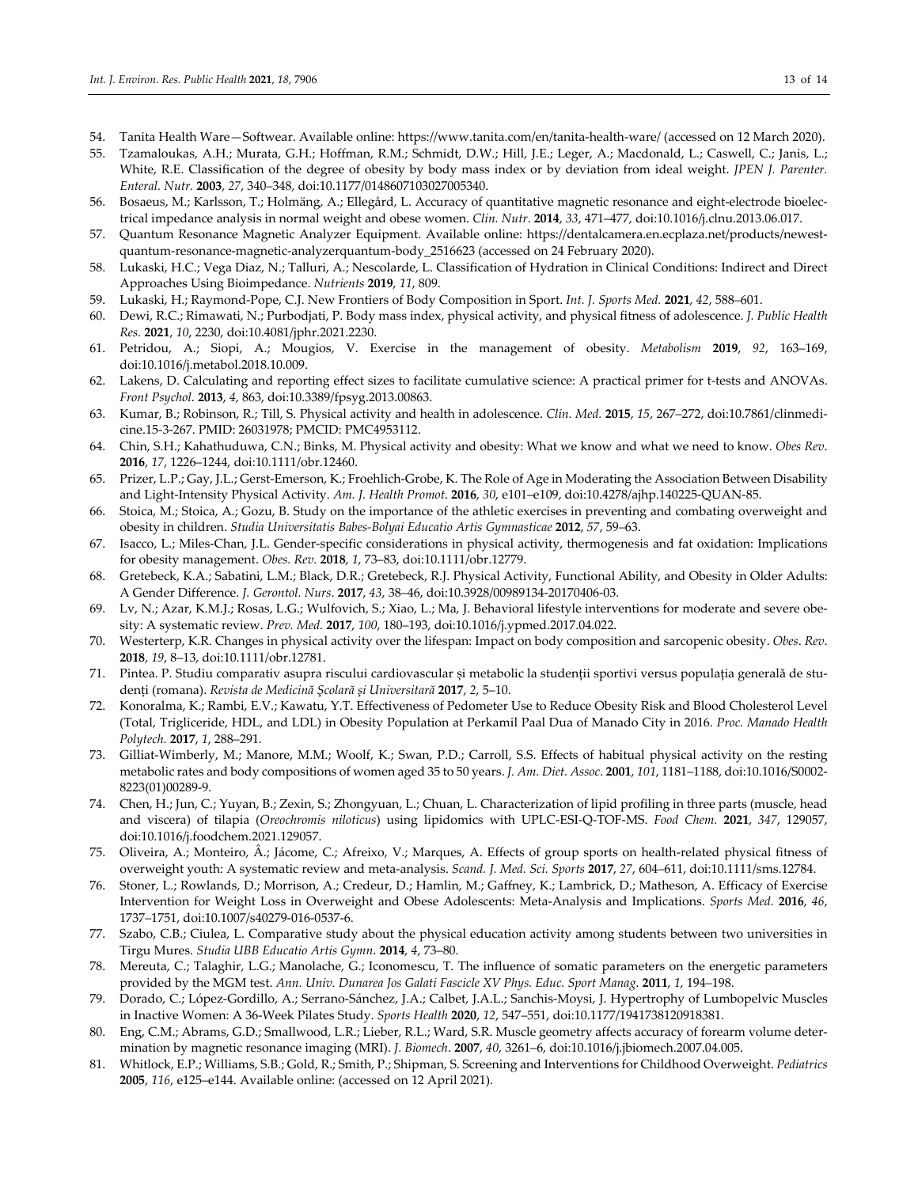- 54. Tanita Health Ware—Softwear. Available online: https://www.tanita.com/en/tanita‐health‐ware/ (accessed on 12 March 2020).
- 55. Tzamaloukas, A.H.; Murata, G.H.; Hoffman, R.M.; Schmidt, D.W.; Hill, J.E.; Leger, A.; Macdonald, L.; Caswell, C.; Janis, L.; White, R.E. Classification of the degree of obesity by body mass index or by deviation from ideal weight. *JPEN J. Parenter. Enteral. Nutr.* **2003**, *27*, 340–348, doi:10.1177/0148607103027005340.
- 56. Bosaeus, M.; Karlsson, T.; Holmäng, A.; Ellegård, L. Accuracy of quantitative magnetic resonance and eight‐electrode bioelec‐ trical impedance analysis in normal weight and obese women. *Clin. Nutr*. **2014**, *33*, 471–477, doi:10.1016/j.clnu.2013.06.017.
- 57. Quantum Resonance Magnetic Analyzer Equipment. Available online: https://dentalcamera.en.ecplaza.net/products/newestquantum‐resonance‐magnetic‐analyzerquantum‐body\_2516623 (accessed on 24 February 2020).
- 58. Lukaski, H.C.; Vega Diaz, N.; Talluri, A.; Nescolarde, L. Classification of Hydration in Clinical Conditions: Indirect and Direct Approaches Using Bioimpedance. *Nutrients* **2019**, *11*, 809.
- 59. Lukaski, H.; Raymond‐Pope, C.J. New Frontiers of Body Composition in Sport. *Int. J. Sports Med.* **2021**, *42*, 588–601.
- 60. Dewi, R.C.; Rimawati, N.; Purbodjati, P. Body mass index, physical activity, and physical fitness of adolescence. *J. Public Health Res.* **2021**, *10*, 2230, doi:10.4081/jphr.2021.2230.
- 61. Petridou, A.; Siopi, A.; Mougios, V. Exercise in the management of obesity. *Metabolism* **2019**, *92*, 163–169, doi:10.1016/j.metabol.2018.10.009.
- 62. Lakens, D. Calculating and reporting effect sizes to facilitate cumulative science: A practical primer for t‐tests and ANOVAs. *Front Psychol*. **2013**, *4*, 863, doi:10.3389/fpsyg.2013.00863.
- 63. Kumar, B.; Robinson, R.; Till, S. Physical activity and health in adolescence. *Clin. Med.* **2015**, *15*, 267–272, doi:10.7861/clinmedi‐ cine.15‐3‐267. PMID: 26031978; PMCID: PMC4953112.
- 64. Chin, S.H.; Kahathuduwa, C.N.; Binks, M. Physical activity and obesity: What we know and what we need to know. *Obes Rev*. **2016**, *17*, 1226–1244, doi:10.1111/obr.12460.
- 65. Prizer, L.P.; Gay, J.L.; Gerst‐Emerson, K.; Froehlich‐Grobe, K. The Role of Age in Moderating the Association Between Disability and Light‐Intensity Physical Activity. *Am. J. Health Promot*. **2016**, *30*, e101–e109, doi:10.4278/ajhp.140225‐QUAN‐85.
- 66. Stoica, M.; Stoica, A.; Gozu, B. Study on the importance of the athletic exercises in preventing and combating overweight and obesity in children. *Studia Universitatis Babes‐Bolyai Educatio Artis Gymnasticae* **2012**, *57*, 59–63.
- 67. Isacco, L.; Miles‐Chan, J.L. Gender‐specific considerations in physical activity, thermogenesis and fat oxidation: Implications for obesity management. *Obes. Rev.* **2018**, *1*, 73–83, doi:10.1111/obr.12779.
- 68. Gretebeck, K.A.; Sabatini, L.M.; Black, D.R.; Gretebeck, R.J. Physical Activity, Functional Ability, and Obesity in Older Adults: A Gender Difference. *J. Gerontol. Nurs*. **2017**, *43*, 38–46, doi:10.3928/00989134‐20170406‐03.
- 69. Lv, N.; Azar, K.M.J.; Rosas, L.G.; Wulfovich, S.; Xiao, L.; Ma, J. Behavioral lifestyle interventions for moderate and severe obe‐ sity: A systematic review. *Prev. Med.* **2017**, *100*, 180–193, doi:10.1016/j.ypmed.2017.04.022.
- 70. Westerterp, K.R. Changes in physical activity over the lifespan: Impact on body composition and sarcopenic obesity. *Obes*. *Rev*. **2018**, *19*, 8–13, doi:10.1111/obr.12781.
- 71. Pintea. P. Studiu comparativ asupra riscului cardiovascular și metabolic la studenții sportivi versus populația generală de stu‐ denți (romana). *Revista de Medicină Şcolară şi Universitară* **2017**, *2*, 5–10.
- 72. Konoralma, K.; Rambi, E.V.; Kawatu, Y.T. Effectiveness of Pedometer Use to Reduce Obesity Risk and Blood Cholesterol Level (Total, Trigliceride, HDL, and LDL) in Obesity Population at Perkamil Paal Dua of Manado City in 2016. *Proc. Manado Health Polytech.* **2017**, *1*, 288–291.
- 73. Gilliat‐Wimberly, M.; Manore, M.M.; Woolf, K.; Swan, P.D.; Carroll, S.S. Effects of habitual physical activity on the resting metabolic rates and body compositions of women aged 35 to 50 years. *J. Am. Diet. Assoc*. **2001**, *101*, 1181–1188, doi:10.1016/S0002‐ 8223(01)00289‐9.
- 74. Chen, H.; Jun, C.; Yuyan, B.; Zexin, S.; Zhongyuan, L.; Chuan, L. Characterization of lipid profiling in three parts (muscle, head and viscera) of tilapia (*Oreochromis niloticus*) using lipidomics with UPLC‐ESI‐Q‐TOF‐MS. *Food Chem.* **2021**, *347*, 129057, doi:10.1016/j.foodchem.2021.129057.
- 75. Oliveira, A.; Monteiro, Â.; Jácome, C.; Afreixo, V.; Marques, A. Effects of group sports on health-related physical fitness of overweight youth: A systematic review and meta‐analysis. *Scand. J. Med. Sci. Sports* **2017**, *27*, 604–611, doi:10.1111/sms.12784.
- 76. Stoner, L.; Rowlands, D.; Morrison, A.; Credeur, D.; Hamlin, M.; Gaffney, K.; Lambrick, D.; Matheson, A. Efficacy of Exercise Intervention for Weight Loss in Overweight and Obese Adolescents: Meta‐Analysis and Implications. *Sports Med.* **2016**, *46*, 1737–1751, doi:10.1007/s40279‐016‐0537‐6.
- 77. Szabo, C.B.; Ciulea, L. Comparative study about the physical education activity among students between two universities in Tirgu Mures. *Studia UBB Educatio Artis Gymn*. **2014**, *4*, 73–80.
- 78. Mereuta, C.; Talaghir, L.G.; Manolache, G.; Iconomescu, T. The influence of somatic parameters on the energetic parameters provided by the MGM test. *Ann. Univ. Dunarea Jos Galati Fascicle XV Phys. Educ. Sport Manag*. **2011**, *1*, 194–198.
- 79. Dorado, C.; López‐Gordillo, A.; Serrano‐Sánchez, J.A.; Calbet, J.A.L.; Sanchis‐Moysi, J. Hypertrophy of Lumbopelvic Muscles in Inactive Women: A 36‐Week Pilates Study. *Sports Health* **2020**, *12*, 547–551, doi:10.1177/1941738120918381.
- 80. Eng, C.M.; Abrams, G.D.; Smallwood, L.R.; Lieber, R.L.; Ward, S.R. Muscle geometry affects accuracy of forearm volume determination by magnetic resonance imaging (MRI). *J. Biomech*. **2007**, *40*, 3261–6, doi:10.1016/j.jbiomech.2007.04.005.
- 81. Whitlock, E.P.; Williams, S.B.; Gold, R.; Smith, P.; Shipman, S. Screening and Interventions for Childhood Overweight. *Pediatrics* **2005**, *116*, e125–e144. Available online: (accessed on 12 April 2021).